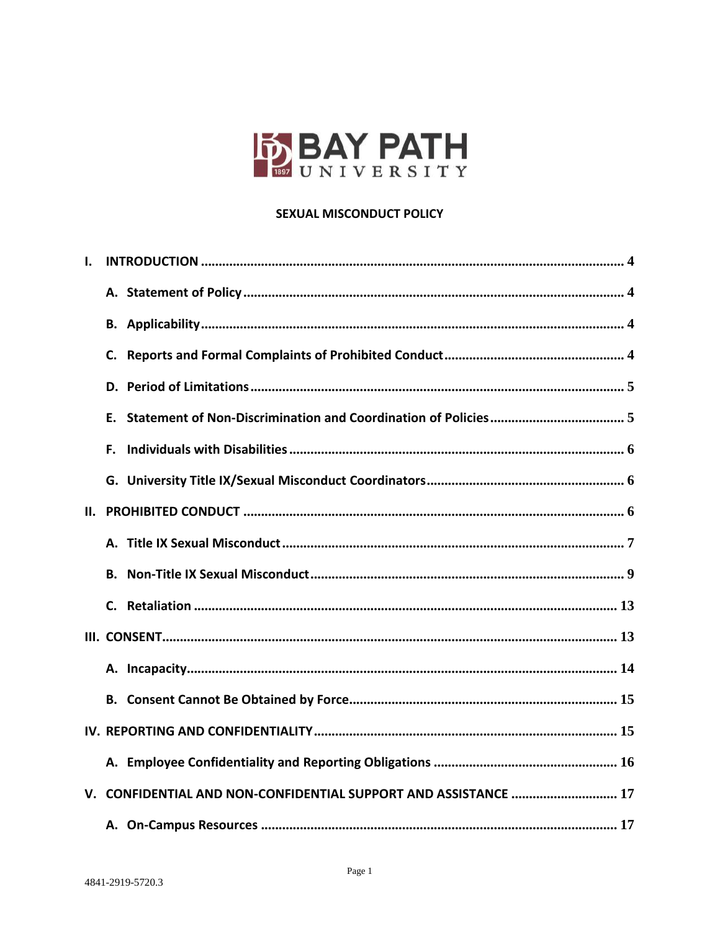

### **SEXUAL MISCONDUCT POLICY**

| ı. |                                                                 |
|----|-----------------------------------------------------------------|
|    |                                                                 |
|    |                                                                 |
|    |                                                                 |
|    |                                                                 |
|    |                                                                 |
|    |                                                                 |
|    |                                                                 |
|    |                                                                 |
|    |                                                                 |
|    |                                                                 |
|    |                                                                 |
|    |                                                                 |
|    |                                                                 |
|    |                                                                 |
|    |                                                                 |
|    |                                                                 |
|    | V. CONFIDENTIAL AND NON-CONFIDENTIAL SUPPORT AND ASSISTANCE  17 |
|    |                                                                 |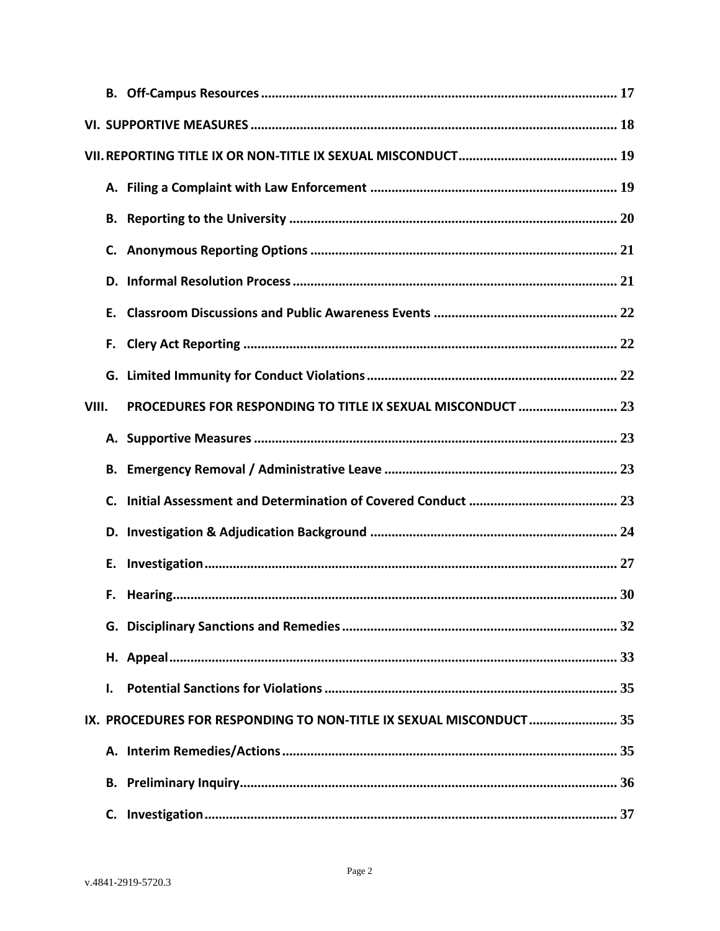|       | Е. |                                                                    |
|-------|----|--------------------------------------------------------------------|
|       | F. |                                                                    |
|       |    |                                                                    |
| VIII. |    | PROCEDURES FOR RESPONDING TO TITLE IX SEXUAL MISCONDUCT  23        |
|       |    |                                                                    |
|       |    |                                                                    |
|       |    |                                                                    |
|       |    |                                                                    |
|       |    |                                                                    |
|       |    |                                                                    |
|       |    |                                                                    |
|       |    |                                                                    |
|       | Ι. |                                                                    |
|       |    | IX. PROCEDURES FOR RESPONDING TO NON-TITLE IX SEXUAL MISCONDUCT 35 |
|       |    |                                                                    |
|       |    |                                                                    |
|       |    |                                                                    |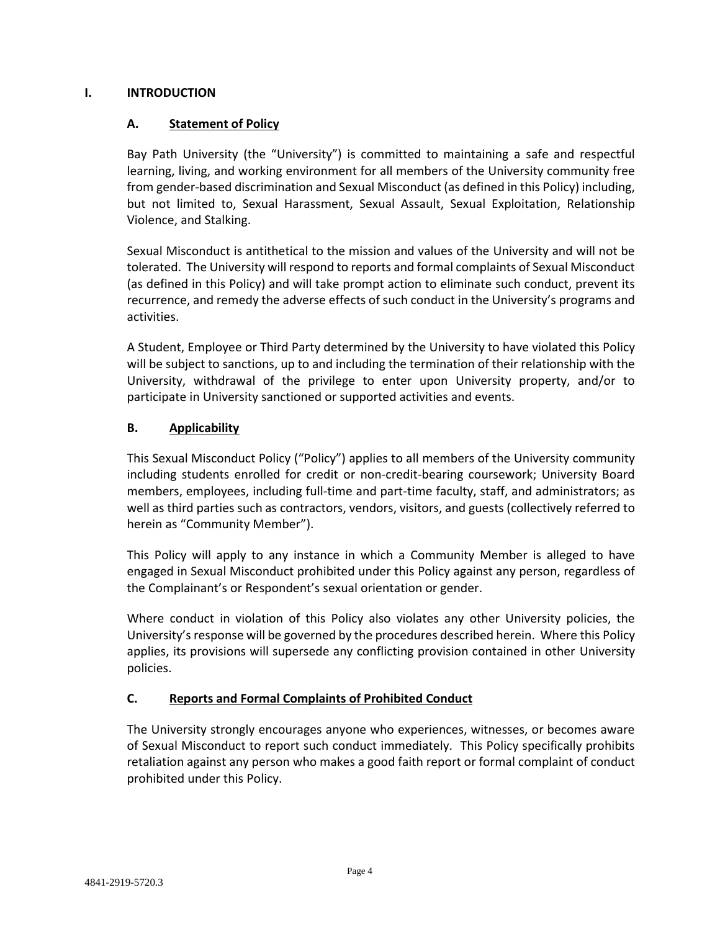### <span id="page-3-1"></span><span id="page-3-0"></span>**I. INTRODUCTION**

## **A. Statement of Policy**

Bay Path University (the "University") is committed to maintaining a safe and respectful learning, living, and working environment for all members of the University community free from gender-based discrimination and Sexual Misconduct (as defined in this Policy) including, but not limited to, Sexual Harassment, Sexual Assault, Sexual Exploitation, Relationship Violence, and Stalking.

Sexual Misconduct is antithetical to the mission and values of the University and will not be tolerated. The University will respond to reports and formal complaints of Sexual Misconduct (as defined in this Policy) and will take prompt action to eliminate such conduct, prevent its recurrence, and remedy the adverse effects of such conduct in the University's programs and activities.

A Student, Employee or Third Party determined by the University to have violated this Policy will be subject to sanctions, up to and including the termination of their relationship with the University, withdrawal of the privilege to enter upon University property, and/or to participate in University sanctioned or supported activities and events.

# <span id="page-3-2"></span>**B. Applicability**

This Sexual Misconduct Policy ("Policy") applies to all members of the University community including students enrolled for credit or non-credit-bearing coursework; University Board members, employees, including full-time and part-time faculty, staff, and administrators; as well as third parties such as contractors, vendors, visitors, and guests (collectively referred to herein as "Community Member").

This Policy will apply to any instance in which a Community Member is alleged to have engaged in Sexual Misconduct prohibited under this Policy against any person, regardless of the Complainant's or Respondent's sexual orientation or gender.

Where conduct in violation of this Policy also violates any other University policies, the University's response will be governed by the procedures described herein. Where this Policy applies, its provisions will supersede any conflicting provision contained in other University policies.

## <span id="page-3-3"></span>**C. Reports and Formal Complaints of Prohibited Conduct**

The University strongly encourages anyone who experiences, witnesses, or becomes aware of Sexual Misconduct to report such conduct immediately. This Policy specifically prohibits retaliation against any person who makes a good faith report or formal complaint of conduct prohibited under this Policy.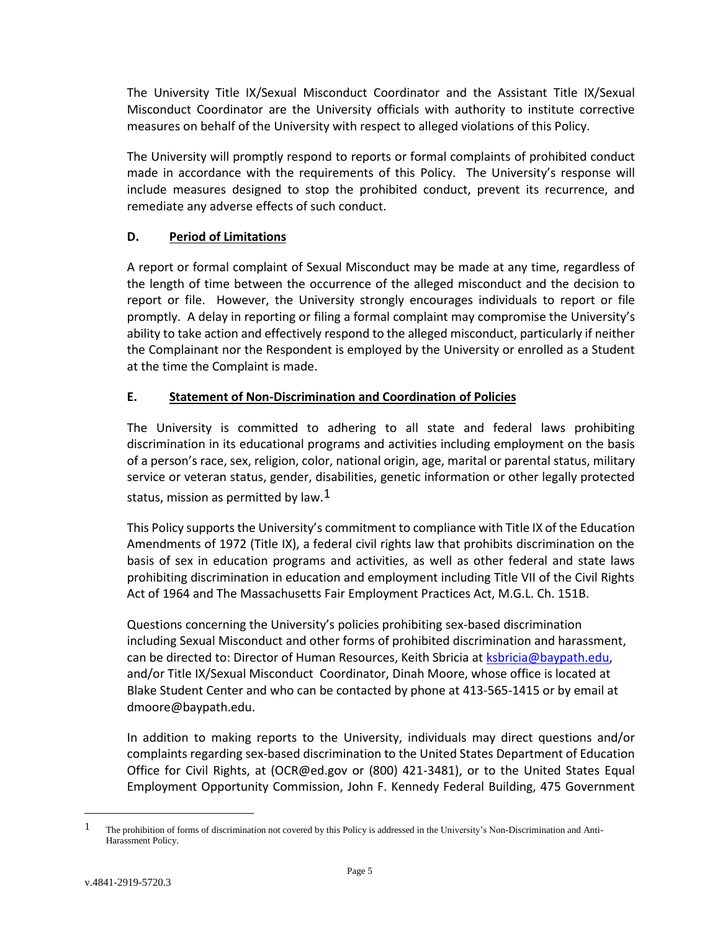The University Title IX/Sexual Misconduct Coordinator and the Assistant Title IX/Sexual Misconduct Coordinator are the University officials with authority to institute corrective measures on behalf of the University with respect to alleged violations of this Policy.

The University will promptly respond to reports or formal complaints of prohibited conduct made in accordance with the requirements of this Policy. The University's response will include measures designed to stop the prohibited conduct, prevent its recurrence, and remediate any adverse effects of such conduct.

# <span id="page-4-0"></span>**D. Period of Limitations**

A report or formal complaint of Sexual Misconduct may be made at any time, regardless of the length of time between the occurrence of the alleged misconduct and the decision to report or file. However, the University strongly encourages individuals to report or file promptly. A delay in reporting or filing a formal complaint may compromise the University's ability to take action and effectively respond to the alleged misconduct, particularly if neither the Complainant nor the Respondent is employed by the University or enrolled as a Student at the time the Complaint is made.

# <span id="page-4-1"></span>**E. Statement of Non-Discrimination and Coordination of Policies**

The University is committed to adhering to all state and federal laws prohibiting discrimination in its educational programs and activities including employment on the basis of a person's race, sex, religion, color, national origin, age, marital or parental status, military service or veteran status, gender, disabilities, genetic information or other legally protected status, mission as permitted by law. $1$ 

This Policy supports the University's commitment to compliance with Title IX of the Education Amendments of 1972 (Title IX), a federal civil rights law that prohibits discrimination on the basis of sex in education programs and activities, as well as other federal and state laws prohibiting discrimination in education and employment including Title VII of the Civil Rights Act of 1964 and The Massachusetts Fair Employment Practices Act, M.G.L. Ch. 151B.

Questions concerning the University's policies prohibiting sex-based discrimination including Sexual Misconduct and other forms of prohibited discrimination and harassment, can be directed to: Director of Human Resources, Keith Sbricia at [ksbricia@baypath.edu,](mailto:ksbricia@baypath.edu) and/or Title IX/Sexual Misconduct Coordinator, Dinah Moore, whose office is located at Blake Student Center and who can be contacted by phone at 413-565-1415 or by email at dmoore@baypath.edu.

In addition to making reports to the University, individuals may direct questions and/or complaints regarding sex-based discrimination to the United States Department of Education Office for Civil Rights, at (OCR@ed.gov or (800) 421-3481), or to the United States Equal Employment Opportunity Commission, John F. Kennedy Federal Building, 475 Government

 $\overline{a}$ 

<sup>1</sup> The prohibition of forms of discrimination not covered by this Policy is addressed in the University's Non-Discrimination and Anti-Harassment Policy.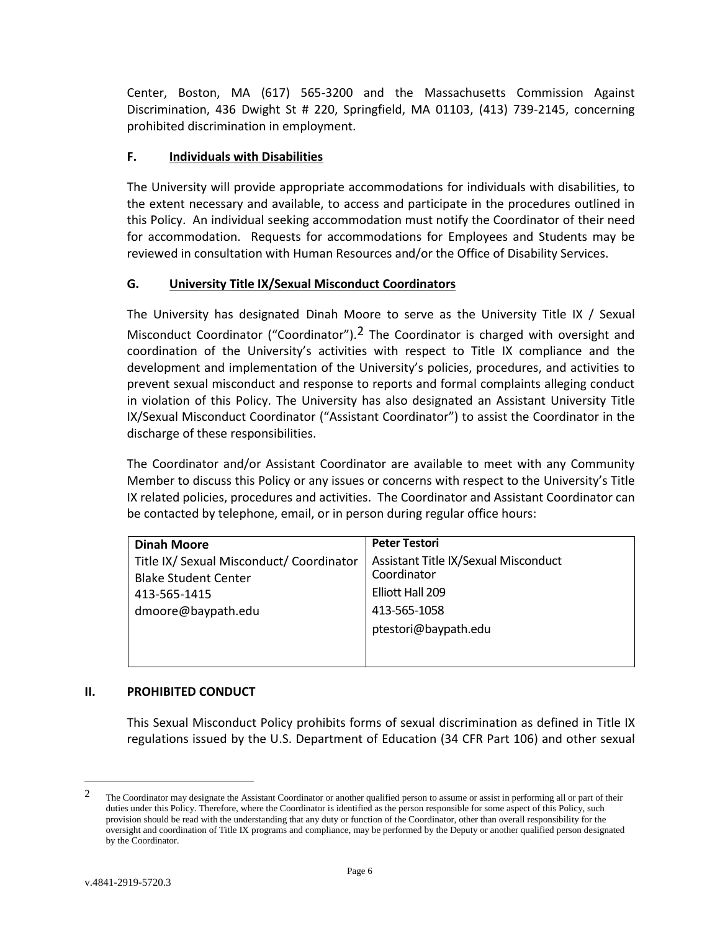Center, Boston, MA (617) 565-3200 and the Massachusetts Commission Against Discrimination, 436 Dwight St # 220, Springfield, MA 01103, (413) 739-2145, concerning prohibited discrimination in employment.

## <span id="page-5-0"></span>**F. Individuals with Disabilities**

The University will provide appropriate accommodations for individuals with disabilities, to the extent necessary and available, to access and participate in the procedures outlined in this Policy. An individual seeking accommodation must notify the Coordinator of their need for accommodation. Requests for accommodations for Employees and Students may be reviewed in consultation with Human Resources and/or the Office of Disability Services.

# <span id="page-5-1"></span>**G. University Title IX/Sexual Misconduct Coordinators**

The University has designated Dinah Moore to serve as the University Title IX / Sexual Misconduct Coordinator ("Coordinator"). $2$  The Coordinator is charged with oversight and coordination of the University's activities with respect to Title IX compliance and the development and implementation of the University's policies, procedures, and activities to prevent sexual misconduct and response to reports and formal complaints alleging conduct in violation of this Policy. The University has also designated an Assistant University Title IX/Sexual Misconduct Coordinator ("Assistant Coordinator") to assist the Coordinator in the discharge of these responsibilities.

The Coordinator and/or Assistant Coordinator are available to meet with any Community Member to discuss this Policy or any issues or concerns with respect to the University's Title IX related policies, procedures and activities. The Coordinator and Assistant Coordinator can be contacted by telephone, email, or in person during regular office hours:

| <b>Dinah Moore</b>                                                      | <b>Peter Testori</b>                                |
|-------------------------------------------------------------------------|-----------------------------------------------------|
| Title IX/ Sexual Misconduct/ Coordinator<br><b>Blake Student Center</b> | Assistant Title IX/Sexual Misconduct<br>Coordinator |
| 413-565-1415                                                            | Elliott Hall 209                                    |
| dmoore@baypath.edu                                                      | 413-565-1058                                        |
|                                                                         | ptestori@baypath.edu                                |
|                                                                         |                                                     |
|                                                                         |                                                     |

## <span id="page-5-2"></span>**II. PROHIBITED CONDUCT**

This Sexual Misconduct Policy prohibits forms of sexual discrimination as defined in Title IX regulations issued by the U.S. Department of Education (34 CFR Part 106) and other sexual

 $\overline{a}$ 

<sup>&</sup>lt;sup>2</sup> The Coordinator may designate the Assistant Coordinator or another qualified person to assume or assist in performing all or part of their duties under this Policy. Therefore, where the Coordinator is identified as the person responsible for some aspect of this Policy, such provision should be read with the understanding that any duty or function of the Coordinator, other than overall responsibility for the oversight and coordination of Title IX programs and compliance, may be performed by the Deputy or another qualified person designated by the Coordinator.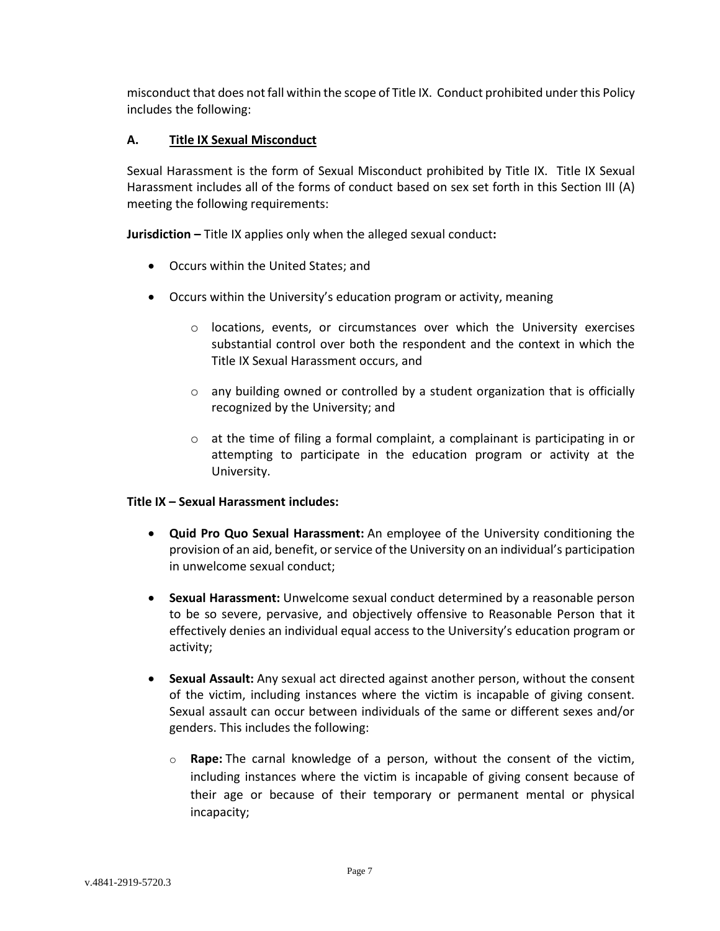misconduct that does not fall within the scope of Title IX. Conduct prohibited under this Policy includes the following:

## <span id="page-6-0"></span>**A. Title IX Sexual Misconduct**

Sexual Harassment is the form of Sexual Misconduct prohibited by Title IX. Title IX Sexual Harassment includes all of the forms of conduct based on sex set forth in this Section III (A) meeting the following requirements:

**Jurisdiction –** Title IX applies only when the alleged sexual conduct**:**

- Occurs within the United States; and
- Occurs within the University's education program or activity, meaning
	- o locations, events, or circumstances over which the University exercises substantial control over both the respondent and the context in which the Title IX Sexual Harassment occurs, and
	- $\circ$  any building owned or controlled by a student organization that is officially recognized by the University; and
	- $\circ$  at the time of filing a formal complaint, a complainant is participating in or attempting to participate in the education program or activity at the University.

#### **Title IX – Sexual Harassment includes:**

- **Quid Pro Quo Sexual Harassment:** An employee of the University conditioning the provision of an aid, benefit, or service of the University on an individual's participation in unwelcome sexual conduct;
- **Sexual Harassment:** Unwelcome sexual conduct determined by a reasonable person to be so severe, pervasive, and objectively offensive to Reasonable Person that it effectively denies an individual equal access to the University's education program or activity;
- **Sexual Assault:** Any sexual act directed against another person, without the consent of the victim, including instances where the victim is incapable of giving consent. Sexual assault can occur between individuals of the same or different sexes and/or genders. This includes the following:
	- o **Rape:** The carnal knowledge of a person, without the consent of the victim, including instances where the victim is incapable of giving consent because of their age or because of their temporary or permanent mental or physical incapacity;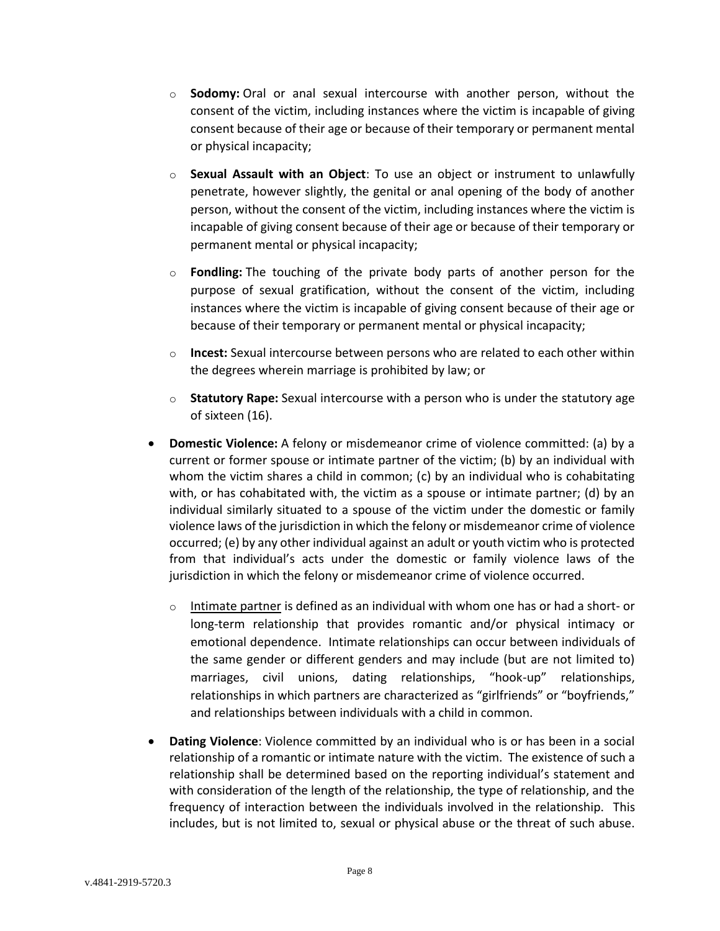- o **Sodomy:** Oral or anal sexual intercourse with another person, without the consent of the victim, including instances where the victim is incapable of giving consent because of their age or because of their temporary or permanent mental or physical incapacity;
- o **Sexual Assault with an Object**: To use an object or instrument to unlawfully penetrate, however slightly, the genital or anal opening of the body of another person, without the consent of the victim, including instances where the victim is incapable of giving consent because of their age or because of their temporary or permanent mental or physical incapacity;
- o **Fondling:** The touching of the private body parts of another person for the purpose of sexual gratification, without the consent of the victim, including instances where the victim is incapable of giving consent because of their age or because of their temporary or permanent mental or physical incapacity;
- o **Incest:** Sexual intercourse between persons who are related to each other within the degrees wherein marriage is prohibited by law; or
- o **Statutory Rape:** Sexual intercourse with a person who is under the statutory age of sixteen (16).
- **Domestic Violence:** A felony or misdemeanor crime of violence committed: (a) by a current or former spouse or intimate partner of the victim; (b) by an individual with whom the victim shares a child in common; (c) by an individual who is cohabitating with, or has cohabitated with, the victim as a spouse or intimate partner; (d) by an individual similarly situated to a spouse of the victim under the domestic or family violence laws of the jurisdiction in which the felony or misdemeanor crime of violence occurred; (e) by any other individual against an adult or youth victim who is protected from that individual's acts under the domestic or family violence laws of the jurisdiction in which the felony or misdemeanor crime of violence occurred.
	- $\circ$  Intimate partner is defined as an individual with whom one has or had a short- or long-term relationship that provides romantic and/or physical intimacy or emotional dependence. Intimate relationships can occur between individuals of the same gender or different genders and may include (but are not limited to) marriages, civil unions, dating relationships, "hook-up" relationships, relationships in which partners are characterized as "girlfriends" or "boyfriends," and relationships between individuals with a child in common.
- **Dating Violence**: Violence committed by an individual who is or has been in a social relationship of a romantic or intimate nature with the victim. The existence of such a relationship shall be determined based on the reporting individual's statement and with consideration of the length of the relationship, the type of relationship, and the frequency of interaction between the individuals involved in the relationship. This includes, but is not limited to, sexual or physical abuse or the threat of such abuse.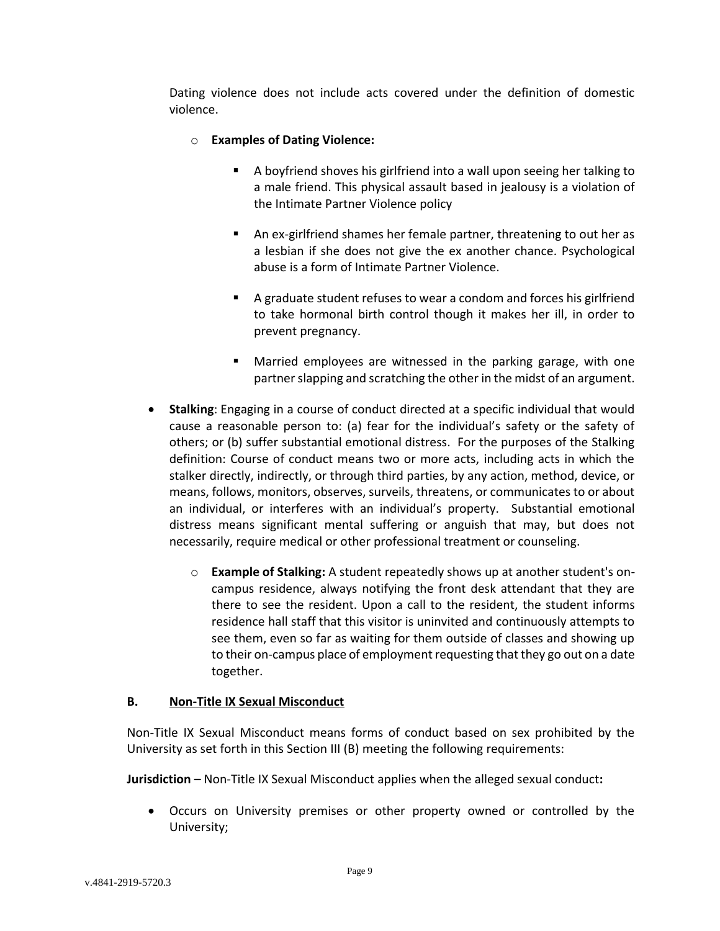Dating violence does not include acts covered under the definition of domestic violence.

## o **Examples of Dating Violence:**

- A boyfriend shoves his girlfriend into a wall upon seeing her talking to a male friend. This physical assault based in jealousy is a violation of the Intimate Partner Violence policy
- An ex-girlfriend shames her female partner, threatening to out her as a lesbian if she does not give the ex another chance. Psychological abuse is a form of Intimate Partner Violence.
- A graduate student refuses to wear a condom and forces his girlfriend to take hormonal birth control though it makes her ill, in order to prevent pregnancy.
- **Married employees are witnessed in the parking garage, with one** partner slapping and scratching the other in the midst of an argument.
- **Stalking**: Engaging in a course of conduct directed at a specific individual that would cause a reasonable person to: (a) fear for the individual's safety or the safety of others; or (b) suffer substantial emotional distress. For the purposes of the Stalking definition: Course of conduct means two or more acts, including acts in which the stalker directly, indirectly, or through third parties, by any action, method, device, or means, follows, monitors, observes, surveils, threatens, or communicates to or about an individual, or interferes with an individual's property. Substantial emotional distress means significant mental suffering or anguish that may, but does not necessarily, require medical or other professional treatment or counseling.
	- o **Example of Stalking:** A student repeatedly shows up at another student's oncampus residence, always notifying the front desk attendant that they are there to see the resident. Upon a call to the resident, the student informs residence hall staff that this visitor is uninvited and continuously attempts to see them, even so far as waiting for them outside of classes and showing up to their on-campus place of employment requesting that they go out on a date together.

## <span id="page-8-0"></span>**B. Non-Title IX Sexual Misconduct**

Non-Title IX Sexual Misconduct means forms of conduct based on sex prohibited by the University as set forth in this Section III (B) meeting the following requirements:

**Jurisdiction –** Non-Title IX Sexual Misconduct applies when the alleged sexual conduct**:**

 Occurs on University premises or other property owned or controlled by the University;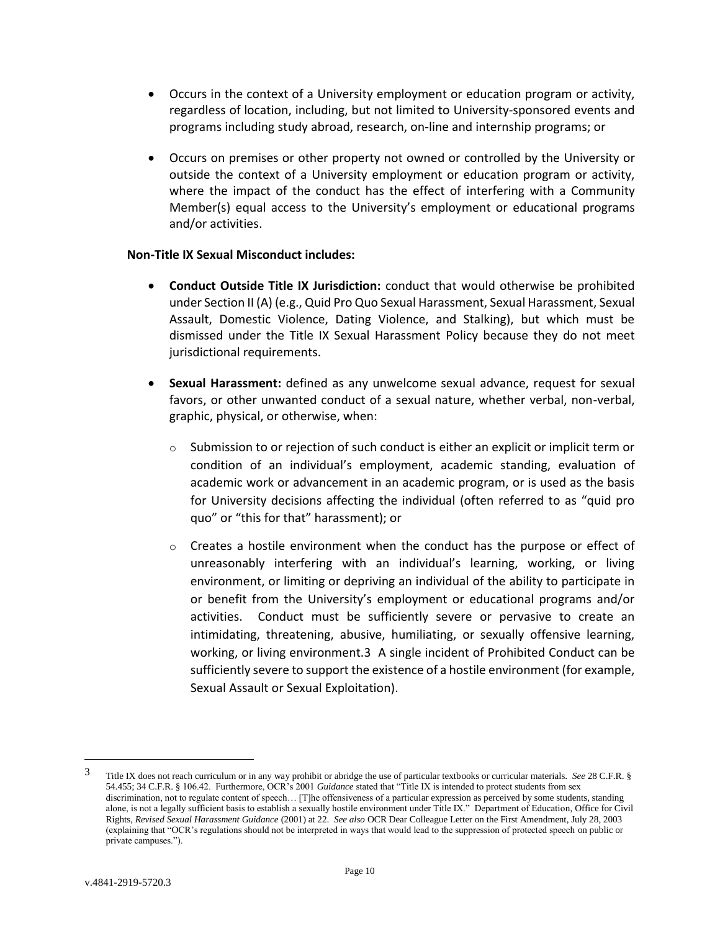- Occurs in the context of a University employment or education program or activity, regardless of location, including, but not limited to University-sponsored events and programs including study abroad, research, on-line and internship programs; or
- Occurs on premises or other property not owned or controlled by the University or outside the context of a University employment or education program or activity, where the impact of the conduct has the effect of interfering with a Community Member(s) equal access to the University's employment or educational programs and/or activities.

### **Non-Title IX Sexual Misconduct includes:**

- **Conduct Outside Title IX Jurisdiction:** conduct that would otherwise be prohibited under Section II (A) (e.g., Quid Pro Quo Sexual Harassment, Sexual Harassment, Sexual Assault, Domestic Violence, Dating Violence, and Stalking), but which must be dismissed under the Title IX Sexual Harassment Policy because they do not meet jurisdictional requirements.
- **Sexual Harassment:** defined as any unwelcome sexual advance, request for sexual favors, or other unwanted conduct of a sexual nature, whether verbal, non-verbal, graphic, physical, or otherwise, when:
	- $\circ$  Submission to or rejection of such conduct is either an explicit or implicit term or condition of an individual's employment, academic standing, evaluation of academic work or advancement in an academic program, or is used as the basis for University decisions affecting the individual (often referred to as "quid pro quo" or "this for that" harassment); or
	- $\circ$  Creates a hostile environment when the conduct has the purpose or effect of unreasonably interfering with an individual's learning, working, or living environment, or limiting or depriving an individual of the ability to participate in or benefit from the University's employment or educational programs and/or activities. Conduct must be sufficiently severe or pervasive to create an intimidating, threatening, abusive, humiliating, or sexually offensive learning, working, or living environment.3 A single incident of Prohibited Conduct can be sufficiently severe to support the existence of a hostile environment (for example, Sexual Assault or Sexual Exploitation).

 $\overline{a}$ 

<sup>3</sup> Title IX does not reach curriculum or in any way prohibit or abridge the use of particular textbooks or curricular materials. *See* 28 C.F.R. § 54.455; 34 C.F.R. § 106.42. Furthermore, OCR's 2001 *Guidance* stated that "Title IX is intended to protect students from sex discrimination, not to regulate content of speech... [T]he offensiveness of a particular expression as perceived by some students, standing alone, is not a legally sufficient basis to establish a sexually hostile environment under Title IX." Department of Education, Office for Civil Rights, *Revised Sexual Harassment Guidance* (2001) at 22. *See also* OCR Dear Colleague Letter on the First Amendment, July 28, 2003 (explaining that "OCR's regulations should not be interpreted in ways that would lead to the suppression of protected speech on public or private campuses.").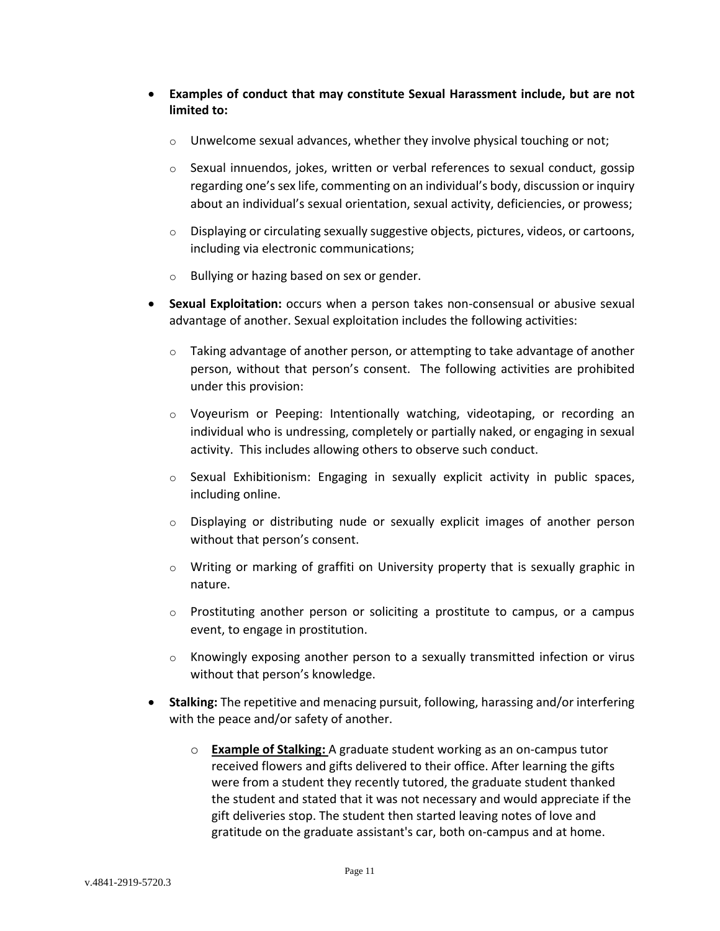- **Examples of conduct that may constitute Sexual Harassment include, but are not limited to:**
	- $\circ$  Unwelcome sexual advances, whether they involve physical touching or not;
	- $\circ$  Sexual innuendos, jokes, written or verbal references to sexual conduct, gossip regarding one's sex life, commenting on an individual's body, discussion or inquiry about an individual's sexual orientation, sexual activity, deficiencies, or prowess;
	- $\circ$  Displaying or circulating sexually suggestive objects, pictures, videos, or cartoons, including via electronic communications;
	- o Bullying or hazing based on sex or gender.
- **Sexual Exploitation:** occurs when a person takes non-consensual or abusive sexual advantage of another. Sexual exploitation includes the following activities:
	- $\circ$  Taking advantage of another person, or attempting to take advantage of another person, without that person's consent. The following activities are prohibited under this provision:
	- $\circ$  Voyeurism or Peeping: Intentionally watching, videotaping, or recording an individual who is undressing, completely or partially naked, or engaging in sexual activity. This includes allowing others to observe such conduct.
	- $\circ$  Sexual Exhibitionism: Engaging in sexually explicit activity in public spaces, including online.
	- o Displaying or distributing nude or sexually explicit images of another person without that person's consent.
	- o Writing or marking of graffiti on University property that is sexually graphic in nature.
	- $\circ$  Prostituting another person or soliciting a prostitute to campus, or a campus event, to engage in prostitution.
	- $\circ$  Knowingly exposing another person to a sexually transmitted infection or virus without that person's knowledge.
- **Stalking:** The repetitive and menacing pursuit, following, harassing and/or interfering with the peace and/or safety of another.
	- o **Example of Stalking:** A graduate student working as an on-campus tutor received flowers and gifts delivered to their office. After learning the gifts were from a student they recently tutored, the graduate student thanked the student and stated that it was not necessary and would appreciate if the gift deliveries stop. The student then started leaving notes of love and gratitude on the graduate assistant's car, both on-campus and at home.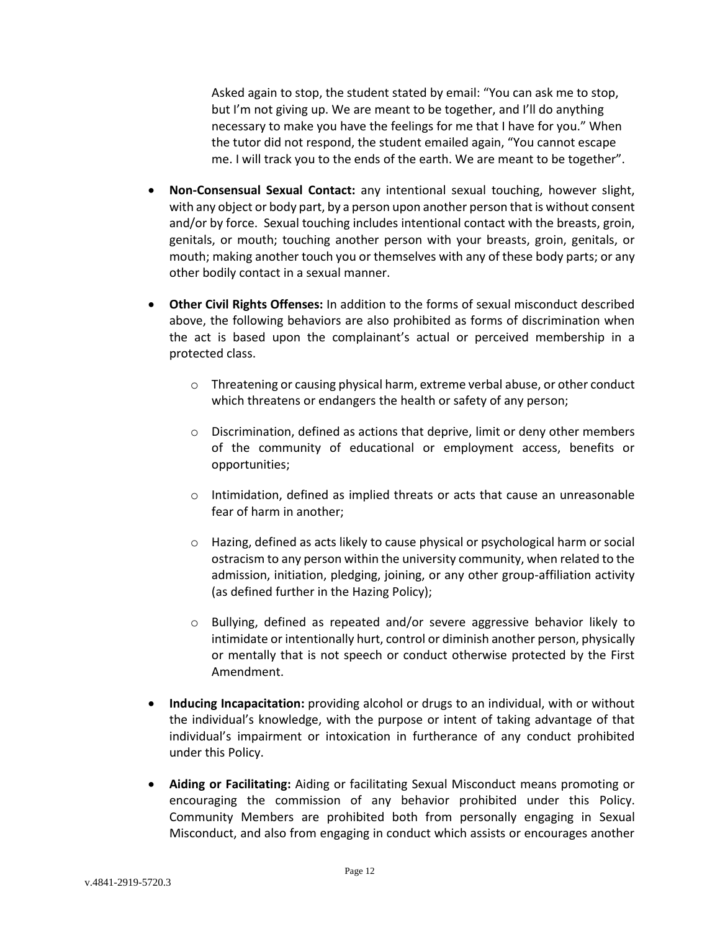Asked again to stop, the student stated by email: "You can ask me to stop, but I'm not giving up. We are meant to be together, and I'll do anything necessary to make you have the feelings for me that I have for you." When the tutor did not respond, the student emailed again, "You cannot escape me. I will track you to the ends of the earth. We are meant to be together".

- **Non-Consensual Sexual Contact:** any intentional sexual touching, however slight, with any object or body part, by a person upon another person that is without consent and/or by force. Sexual touching includes intentional contact with the breasts, groin, genitals, or mouth; touching another person with your breasts, groin, genitals, or mouth; making another touch you or themselves with any of these body parts; or any other bodily contact in a sexual manner.
- **Other Civil Rights Offenses:** In addition to the forms of sexual misconduct described above, the following behaviors are also prohibited as forms of discrimination when the act is based upon the complainant's actual or perceived membership in a protected class.
	- o Threatening or causing physical harm, extreme verbal abuse, or other conduct which threatens or endangers the health or safety of any person;
	- o Discrimination, defined as actions that deprive, limit or deny other members of the community of educational or employment access, benefits or opportunities;
	- o Intimidation, defined as implied threats or acts that cause an unreasonable fear of harm in another;
	- o Hazing, defined as acts likely to cause physical or psychological harm or social ostracism to any person within the university community, when related to the admission, initiation, pledging, joining, or any other group-affiliation activity (as defined further in the Hazing Policy);
	- o Bullying, defined as repeated and/or severe aggressive behavior likely to intimidate or intentionally hurt, control or diminish another person, physically or mentally that is not speech or conduct otherwise protected by the First Amendment.
- **Inducing Incapacitation:** providing alcohol or drugs to an individual, with or without the individual's knowledge, with the purpose or intent of taking advantage of that individual's impairment or intoxication in furtherance of any conduct prohibited under this Policy.
- **Aiding or Facilitating:** Aiding or facilitating Sexual Misconduct means promoting or encouraging the commission of any behavior prohibited under this Policy. Community Members are prohibited both from personally engaging in Sexual Misconduct, and also from engaging in conduct which assists or encourages another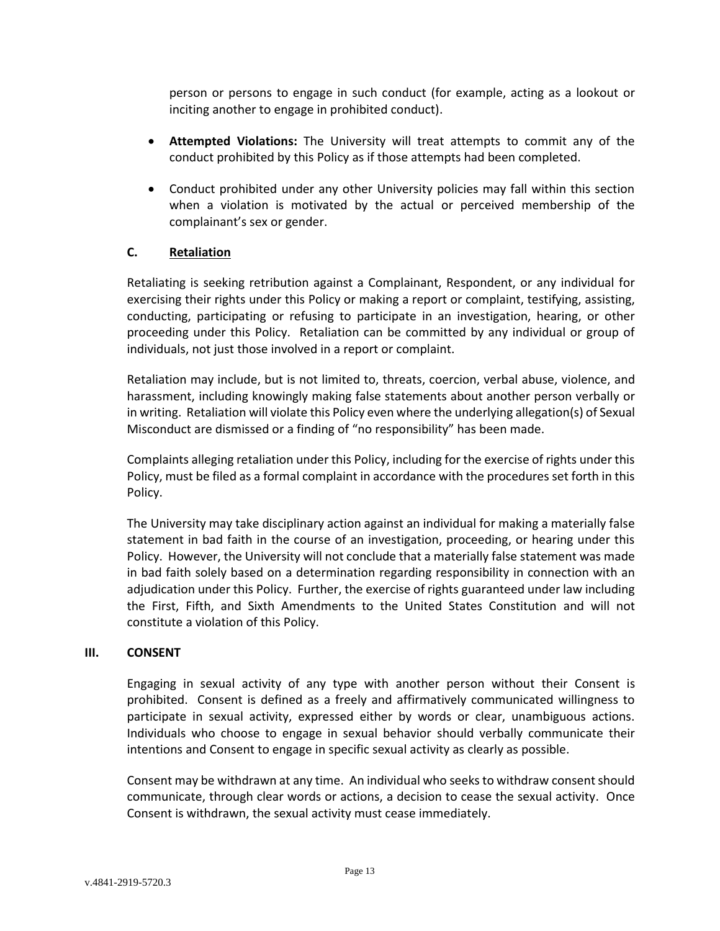person or persons to engage in such conduct (for example, acting as a lookout or inciting another to engage in prohibited conduct).

- **Attempted Violations:** The University will treat attempts to commit any of the conduct prohibited by this Policy as if those attempts had been completed.
- Conduct prohibited under any other University policies may fall within this section when a violation is motivated by the actual or perceived membership of the complainant's sex or gender.

## <span id="page-12-0"></span>**C. Retaliation**

Retaliating is seeking retribution against a Complainant, Respondent, or any individual for exercising their rights under this Policy or making a report or complaint, testifying, assisting, conducting, participating or refusing to participate in an investigation, hearing, or other proceeding under this Policy. Retaliation can be committed by any individual or group of individuals, not just those involved in a report or complaint.

Retaliation may include, but is not limited to, threats, coercion, verbal abuse, violence, and harassment, including knowingly making false statements about another person verbally or in writing. Retaliation will violate this Policy even where the underlying allegation(s) of Sexual Misconduct are dismissed or a finding of "no responsibility" has been made.

Complaints alleging retaliation under this Policy, including for the exercise of rights under this Policy, must be filed as a formal complaint in accordance with the procedures set forth in this Policy.

The University may take disciplinary action against an individual for making a materially false statement in bad faith in the course of an investigation, proceeding, or hearing under this Policy. However, the University will not conclude that a materially false statement was made in bad faith solely based on a determination regarding responsibility in connection with an adjudication under this Policy. Further, the exercise of rights guaranteed under law including the First, Fifth, and Sixth Amendments to the United States Constitution and will not constitute a violation of this Policy.

#### <span id="page-12-1"></span>**III. CONSENT**

Engaging in sexual activity of any type with another person without their Consent is prohibited. Consent is defined as a freely and affirmatively communicated willingness to participate in sexual activity, expressed either by words or clear, unambiguous actions. Individuals who choose to engage in sexual behavior should verbally communicate their intentions and Consent to engage in specific sexual activity as clearly as possible.

Consent may be withdrawn at any time. An individual who seeks to withdraw consent should communicate, through clear words or actions, a decision to cease the sexual activity. Once Consent is withdrawn, the sexual activity must cease immediately.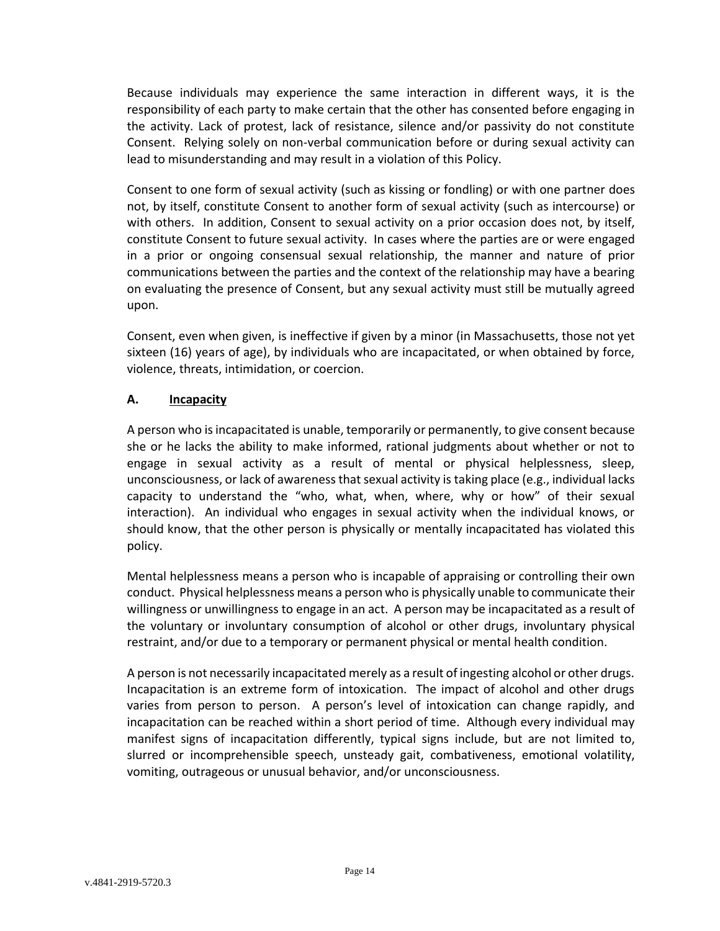Because individuals may experience the same interaction in different ways, it is the responsibility of each party to make certain that the other has consented before engaging in the activity. Lack of protest, lack of resistance, silence and/or passivity do not constitute Consent. Relying solely on non-verbal communication before or during sexual activity can lead to misunderstanding and may result in a violation of this Policy.

Consent to one form of sexual activity (such as kissing or fondling) or with one partner does not, by itself, constitute Consent to another form of sexual activity (such as intercourse) or with others. In addition, Consent to sexual activity on a prior occasion does not, by itself, constitute Consent to future sexual activity. In cases where the parties are or were engaged in a prior or ongoing consensual sexual relationship, the manner and nature of prior communications between the parties and the context of the relationship may have a bearing on evaluating the presence of Consent, but any sexual activity must still be mutually agreed upon.

Consent, even when given, is ineffective if given by a minor (in Massachusetts, those not yet sixteen (16) years of age), by individuals who are incapacitated, or when obtained by force, violence, threats, intimidation, or coercion.

## <span id="page-13-0"></span>**A. Incapacity**

A person who is incapacitated is unable, temporarily or permanently, to give consent because she or he lacks the ability to make informed, rational judgments about whether or not to engage in sexual activity as a result of mental or physical helplessness, sleep, unconsciousness, or lack of awareness that sexual activity is taking place (e.g., individual lacks capacity to understand the "who, what, when, where, why or how" of their sexual interaction). An individual who engages in sexual activity when the individual knows, or should know, that the other person is physically or mentally incapacitated has violated this policy.

Mental helplessness means a person who is incapable of appraising or controlling their own conduct. Physical helplessness means a person who is physically unable to communicate their willingness or unwillingness to engage in an act. A person may be incapacitated as a result of the voluntary or involuntary consumption of alcohol or other drugs, involuntary physical restraint, and/or due to a temporary or permanent physical or mental health condition.

A person is not necessarily incapacitated merely as a result of ingesting alcohol or other drugs. Incapacitation is an extreme form of intoxication. The impact of alcohol and other drugs varies from person to person. A person's level of intoxication can change rapidly, and incapacitation can be reached within a short period of time. Although every individual may manifest signs of incapacitation differently, typical signs include, but are not limited to, slurred or incomprehensible speech, unsteady gait, combativeness, emotional volatility, vomiting, outrageous or unusual behavior, and/or unconsciousness.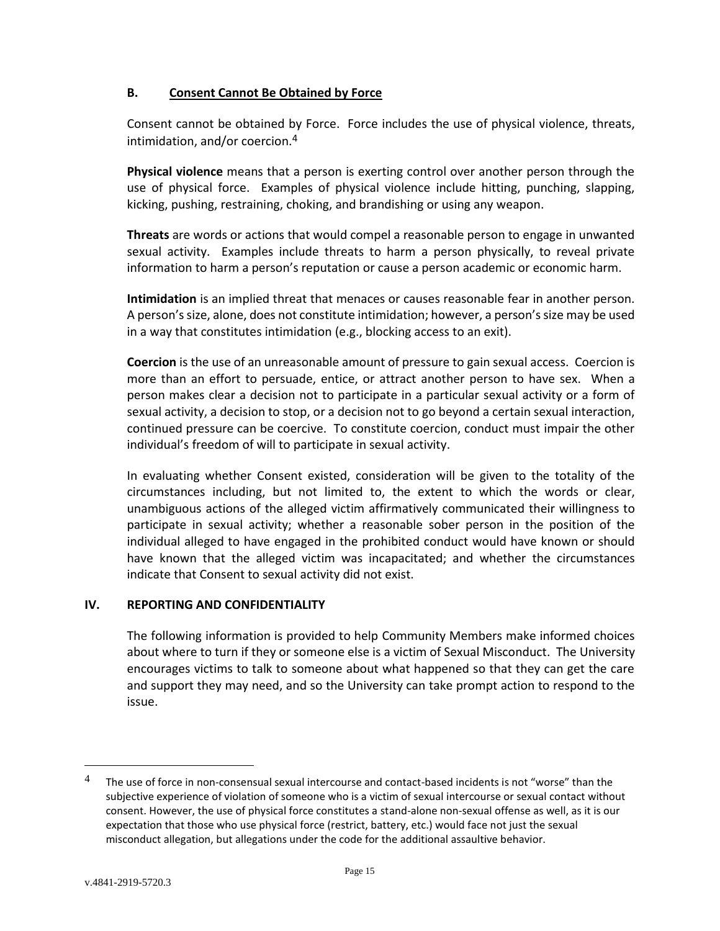## <span id="page-14-0"></span>**B. Consent Cannot Be Obtained by Force**

Consent cannot be obtained by Force. Force includes the use of physical violence, threats, intimidation, and/or coercion.4

**Physical violence** means that a person is exerting control over another person through the use of physical force. Examples of physical violence include hitting, punching, slapping, kicking, pushing, restraining, choking, and brandishing or using any weapon.

**Threats** are words or actions that would compel a reasonable person to engage in unwanted sexual activity. Examples include threats to harm a person physically, to reveal private information to harm a person's reputation or cause a person academic or economic harm.

**Intimidation** is an implied threat that menaces or causes reasonable fear in another person. A person's size, alone, does not constitute intimidation; however, a person's size may be used in a way that constitutes intimidation (e.g., blocking access to an exit).

**Coercion** is the use of an unreasonable amount of pressure to gain sexual access. Coercion is more than an effort to persuade, entice, or attract another person to have sex. When a person makes clear a decision not to participate in a particular sexual activity or a form of sexual activity, a decision to stop, or a decision not to go beyond a certain sexual interaction, continued pressure can be coercive. To constitute coercion, conduct must impair the other individual's freedom of will to participate in sexual activity.

In evaluating whether Consent existed, consideration will be given to the totality of the circumstances including, but not limited to, the extent to which the words or clear, unambiguous actions of the alleged victim affirmatively communicated their willingness to participate in sexual activity; whether a reasonable sober person in the position of the individual alleged to have engaged in the prohibited conduct would have known or should have known that the alleged victim was incapacitated; and whether the circumstances indicate that Consent to sexual activity did not exist.

# <span id="page-14-1"></span>**IV. REPORTING AND CONFIDENTIALITY**

The following information is provided to help Community Members make informed choices about where to turn if they or someone else is a victim of Sexual Misconduct. The University encourages victims to talk to someone about what happened so that they can get the care and support they may need, and so the University can take prompt action to respond to the issue.

 $\overline{a}$ 

<sup>&</sup>lt;sup>4</sup> The use of force in non-consensual sexual intercourse and contact-based incidents is not "worse" than the subjective experience of violation of someone who is a victim of sexual intercourse or sexual contact without consent. However, the use of physical force constitutes a stand-alone non-sexual offense as well, as it is our expectation that those who use physical force (restrict, battery, etc.) would face not just the sexual misconduct allegation, but allegations under the code for the additional assaultive behavior.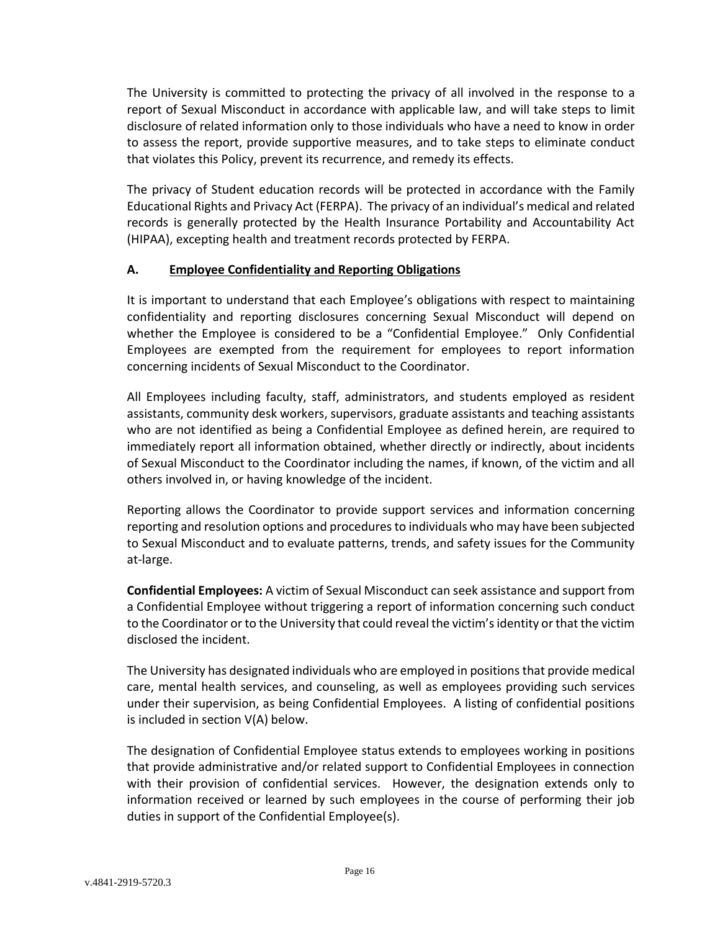The University is committed to protecting the privacy of all involved in the response to a report of Sexual Misconduct in accordance with applicable law, and will take steps to limit disclosure of related information only to those individuals who have a need to know in order to assess the report, provide supportive measures, and to take steps to eliminate conduct that violates this Policy, prevent its recurrence, and remedy its effects.

The privacy of Student education records will be protected in accordance with the Family Educational Rights and Privacy Act (FERPA). The privacy of an individual's medical and related records is generally protected by the Health Insurance Portability and Accountability Act (HIPAA), excepting health and treatment records protected by FERPA.

## <span id="page-15-0"></span>**A. Employee Confidentiality and Reporting Obligations**

It is important to understand that each Employee's obligations with respect to maintaining confidentiality and reporting disclosures concerning Sexual Misconduct will depend on whether the Employee is considered to be a "Confidential Employee." Only Confidential Employees are exempted from the requirement for employees to report information concerning incidents of Sexual Misconduct to the Coordinator.

All Employees including faculty, staff, administrators, and students employed as resident assistants, community desk workers, supervisors, graduate assistants and teaching assistants who are not identified as being a Confidential Employee as defined herein, are required to immediately report all information obtained, whether directly or indirectly, about incidents of Sexual Misconduct to the Coordinator including the names, if known, of the victim and all others involved in, or having knowledge of the incident.

Reporting allows the Coordinator to provide support services and information concerning reporting and resolution options and procedures to individuals who may have been subjected to Sexual Misconduct and to evaluate patterns, trends, and safety issues for the Community at-large.

**Confidential Employees:** A victim of Sexual Misconduct can seek assistance and support from a Confidential Employee without triggering a report of information concerning such conduct to the Coordinator or to the University that could reveal the victim's identity or that the victim disclosed the incident.

The University has designated individuals who are employed in positions that provide medical care, mental health services, and counseling, as well as employees providing such services under their supervision, as being Confidential Employees. A listing of confidential positions is included in section V(A) below.

The designation of Confidential Employee status extends to employees working in positions that provide administrative and/or related support to Confidential Employees in connection with their provision of confidential services. However, the designation extends only to information received or learned by such employees in the course of performing their job duties in support of the Confidential Employee(s).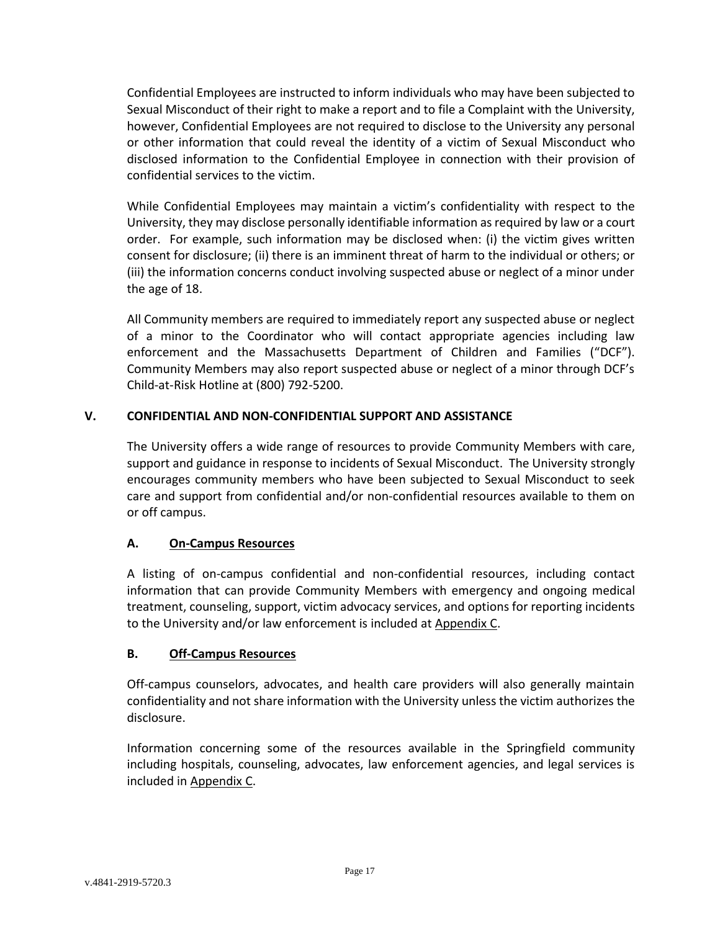Confidential Employees are instructed to inform individuals who may have been subjected to Sexual Misconduct of their right to make a report and to file a Complaint with the University, however, Confidential Employees are not required to disclose to the University any personal or other information that could reveal the identity of a victim of Sexual Misconduct who disclosed information to the Confidential Employee in connection with their provision of confidential services to the victim.

While Confidential Employees may maintain a victim's confidentiality with respect to the University, they may disclose personally identifiable information as required by law or a court order. For example, such information may be disclosed when: (i) the victim gives written consent for disclosure; (ii) there is an imminent threat of harm to the individual or others; or (iii) the information concerns conduct involving suspected abuse or neglect of a minor under the age of 18.

All Community members are required to immediately report any suspected abuse or neglect of a minor to the Coordinator who will contact appropriate agencies including law enforcement and the Massachusetts Department of Children and Families ("DCF"). Community Members may also report suspected abuse or neglect of a minor through DCF's Child-at-Risk Hotline at (800) 792-5200.

# <span id="page-16-0"></span>**V. CONFIDENTIAL AND NON-CONFIDENTIAL SUPPORT AND ASSISTANCE**

The University offers a wide range of resources to provide Community Members with care, support and guidance in response to incidents of Sexual Misconduct. The University strongly encourages community members who have been subjected to Sexual Misconduct to seek care and support from confidential and/or non-confidential resources available to them on or off campus.

## <span id="page-16-1"></span>**A. On-Campus Resources**

A listing of on-campus confidential and non-confidential resources, including contact information that can provide Community Members with emergency and ongoing medical treatment, counseling, support, victim advocacy services, and options for reporting incidents to the University and/or law enforcement is included at Appendix C.

## <span id="page-16-2"></span>**B. Off-Campus Resources**

Off-campus counselors, advocates, and health care providers will also generally maintain confidentiality and not share information with the University unless the victim authorizes the disclosure.

Information concerning some of the resources available in the Springfield community including hospitals, counseling, advocates, law enforcement agencies, and legal services is included in Appendix C.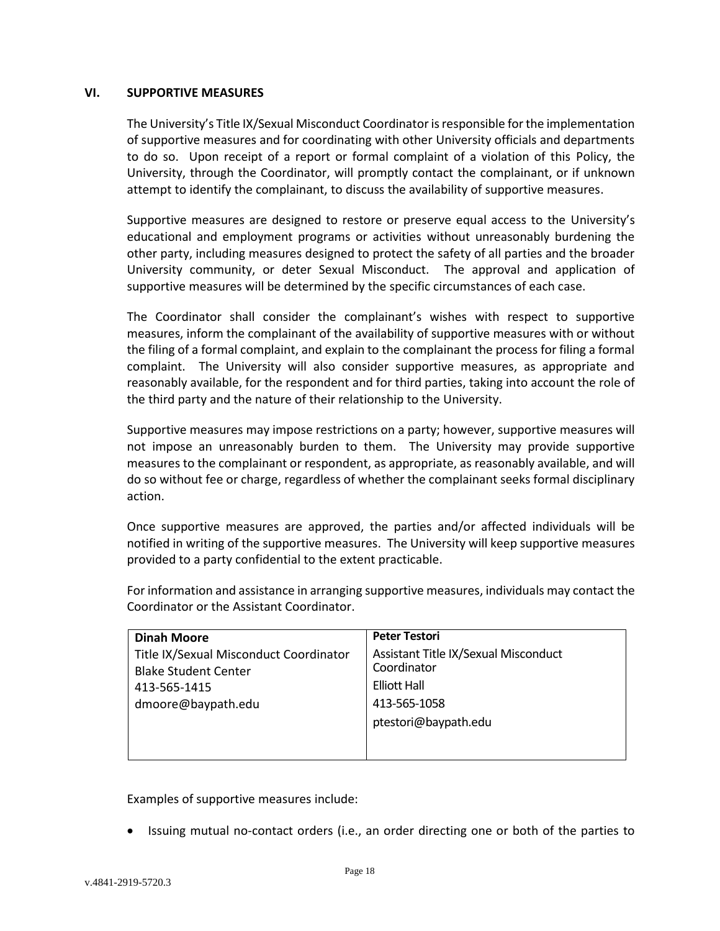#### <span id="page-17-0"></span>**VI. SUPPORTIVE MEASURES**

The University's Title IX/Sexual Misconduct Coordinator is responsible for the implementation of supportive measures and for coordinating with other University officials and departments to do so. Upon receipt of a report or formal complaint of a violation of this Policy, the University, through the Coordinator, will promptly contact the complainant, or if unknown attempt to identify the complainant, to discuss the availability of supportive measures.

Supportive measures are designed to restore or preserve equal access to the University's educational and employment programs or activities without unreasonably burdening the other party, including measures designed to protect the safety of all parties and the broader University community, or deter Sexual Misconduct. The approval and application of supportive measures will be determined by the specific circumstances of each case.

The Coordinator shall consider the complainant's wishes with respect to supportive measures, inform the complainant of the availability of supportive measures with or without the filing of a formal complaint, and explain to the complainant the process for filing a formal complaint. The University will also consider supportive measures, as appropriate and reasonably available, for the respondent and for third parties, taking into account the role of the third party and the nature of their relationship to the University.

Supportive measures may impose restrictions on a party; however, supportive measures will not impose an unreasonably burden to them. The University may provide supportive measures to the complainant or respondent, as appropriate, as reasonably available, and will do so without fee or charge, regardless of whether the complainant seeks formal disciplinary action.

Once supportive measures are approved, the parties and/or affected individuals will be notified in writing of the supportive measures. The University will keep supportive measures provided to a party confidential to the extent practicable.

For information and assistance in arranging supportive measures, individuals may contact the Coordinator or the Assistant Coordinator.

| <b>Dinah Moore</b>                                                    | <b>Peter Testori</b>                                |
|-----------------------------------------------------------------------|-----------------------------------------------------|
| Title IX/Sexual Misconduct Coordinator<br><b>Blake Student Center</b> | Assistant Title IX/Sexual Misconduct<br>Coordinator |
| 413-565-1415                                                          | <b>Elliott Hall</b>                                 |
| dmoore@baypath.edu                                                    | 413-565-1058                                        |
|                                                                       | ptestori@baypath.edu                                |
|                                                                       |                                                     |
|                                                                       |                                                     |

Examples of supportive measures include:

• Issuing mutual no-contact orders (i.e., an order directing one or both of the parties to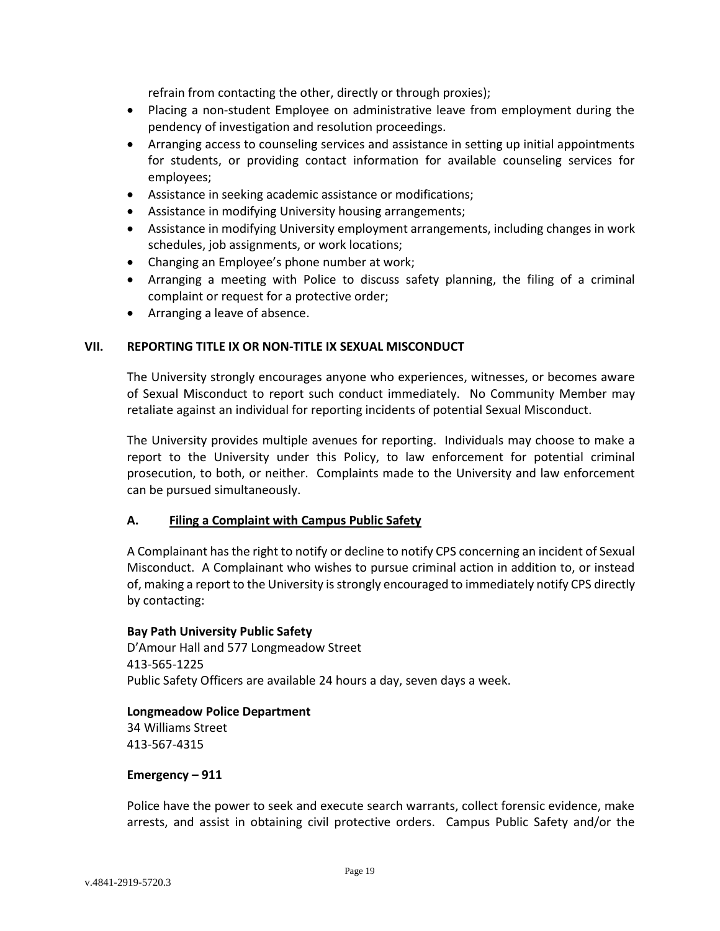refrain from contacting the other, directly or through proxies);

- Placing a non-student Employee on administrative leave from employment during the pendency of investigation and resolution proceedings.
- Arranging access to counseling services and assistance in setting up initial appointments for students, or providing contact information for available counseling services for employees;
- Assistance in seeking academic assistance or modifications;
- Assistance in modifying University housing arrangements;
- Assistance in modifying University employment arrangements, including changes in work schedules, job assignments, or work locations;
- Changing an Employee's phone number at work;
- Arranging a meeting with Police to discuss safety planning, the filing of a criminal complaint or request for a protective order;
- Arranging a leave of absence.

#### <span id="page-18-0"></span>**VII. REPORTING TITLE IX OR NON-TITLE IX SEXUAL MISCONDUCT**

The University strongly encourages anyone who experiences, witnesses, or becomes aware of Sexual Misconduct to report such conduct immediately. No Community Member may retaliate against an individual for reporting incidents of potential Sexual Misconduct.

The University provides multiple avenues for reporting. Individuals may choose to make a report to the University under this Policy, to law enforcement for potential criminal prosecution, to both, or neither. Complaints made to the University and law enforcement can be pursued simultaneously.

#### <span id="page-18-1"></span>**A. Filing a Complaint with Campus Public Safety**

A Complainant has the right to notify or decline to notify CPS concerning an incident of Sexual Misconduct. A Complainant who wishes to pursue criminal action in addition to, or instead of, making a report to the University is strongly encouraged to immediately notify CPS directly by contacting:

#### **Bay Path University Public Safety**

D'Amour Hall and 577 Longmeadow Street 413-565-1225 Public Safety Officers are available 24 hours a day, seven days a week.

## **Longmeadow Police Department**

34 Williams Street 413-567-4315

#### **Emergency – 911**

Police have the power to seek and execute search warrants, collect forensic evidence, make arrests, and assist in obtaining civil protective orders. Campus Public Safety and/or the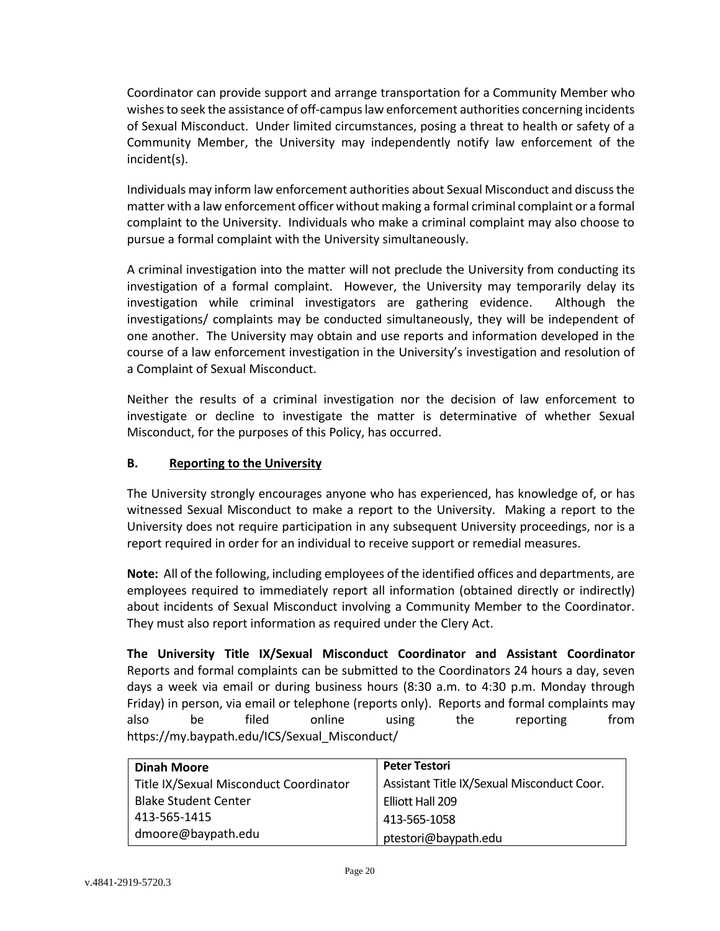Coordinator can provide support and arrange transportation for a Community Member who wishes to seek the assistance of off-campus law enforcement authorities concerning incidents of Sexual Misconduct. Under limited circumstances, posing a threat to health or safety of a Community Member, the University may independently notify law enforcement of the incident(s).

Individuals may inform law enforcement authorities about Sexual Misconduct and discuss the matter with a law enforcement officer without making a formal criminal complaint or a formal complaint to the University. Individuals who make a criminal complaint may also choose to pursue a formal complaint with the University simultaneously.

A criminal investigation into the matter will not preclude the University from conducting its investigation of a formal complaint. However, the University may temporarily delay its investigation while criminal investigators are gathering evidence. Although the investigations/ complaints may be conducted simultaneously, they will be independent of one another. The University may obtain and use reports and information developed in the course of a law enforcement investigation in the University's investigation and resolution of a Complaint of Sexual Misconduct.

Neither the results of a criminal investigation nor the decision of law enforcement to investigate or decline to investigate the matter is determinative of whether Sexual Misconduct, for the purposes of this Policy, has occurred.

# <span id="page-19-0"></span>**B. Reporting to the University**

The University strongly encourages anyone who has experienced, has knowledge of, or has witnessed Sexual Misconduct to make a report to the University. Making a report to the University does not require participation in any subsequent University proceedings, nor is a report required in order for an individual to receive support or remedial measures.

**Note:** All of the following, including employees of the identified offices and departments, are employees required to immediately report all information (obtained directly or indirectly) about incidents of Sexual Misconduct involving a Community Member to the Coordinator. They must also report information as required under the Clery Act.

**The University Title IX/Sexual Misconduct Coordinator and Assistant Coordinator** Reports and formal complaints can be submitted to the Coordinators 24 hours a day, seven days a week via email or during business hours (8:30 a.m. to 4:30 p.m. Monday through Friday) in person, via email or telephone (reports only). Reports and formal complaints may also be filed online using the reporting from https://my.baypath.edu/ICS/Sexual\_Misconduct/

| <b>Dinah Moore</b>                     | <b>Peter Testori</b>                       |
|----------------------------------------|--------------------------------------------|
| Title IX/Sexual Misconduct Coordinator | Assistant Title IX/Sexual Misconduct Coor. |
| <b>Blake Student Center</b>            | Elliott Hall 209                           |
| 413-565-1415                           | 413-565-1058                               |
| dmoore@baypath.edu                     | ptestori@baypath.edu                       |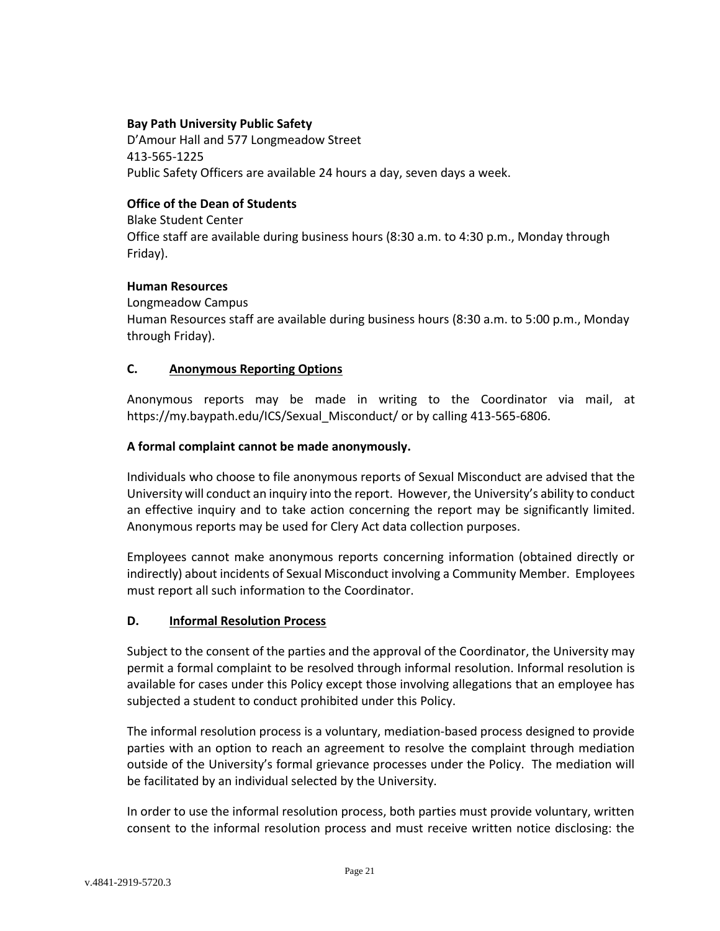### **Bay Path University Public Safety**

D'Amour Hall and 577 Longmeadow Street 413-565-1225 Public Safety Officers are available 24 hours a day, seven days a week.

### **Office of the Dean of Students**

Blake Student Center Office staff are available during business hours (8:30 a.m. to 4:30 p.m., Monday through Friday).

### **Human Resources**

Longmeadow Campus Human Resources staff are available during business hours (8:30 a.m. to 5:00 p.m., Monday through Friday).

### <span id="page-20-0"></span>**C. Anonymous Reporting Options**

Anonymous reports may be made in writing to the Coordinator via mail, at https://my.baypath.edu/ICS/Sexual\_Misconduct/ or by calling 413-565-6806.

### **A formal complaint cannot be made anonymously.**

Individuals who choose to file anonymous reports of Sexual Misconduct are advised that the University will conduct an inquiry into the report. However, the University's ability to conduct an effective inquiry and to take action concerning the report may be significantly limited. Anonymous reports may be used for Clery Act data collection purposes.

Employees cannot make anonymous reports concerning information (obtained directly or indirectly) about incidents of Sexual Misconduct involving a Community Member. Employees must report all such information to the Coordinator.

#### <span id="page-20-1"></span>**D. Informal Resolution Process**

Subject to the consent of the parties and the approval of the Coordinator, the University may permit a formal complaint to be resolved through informal resolution. Informal resolution is available for cases under this Policy except those involving allegations that an employee has subjected a student to conduct prohibited under this Policy.

The informal resolution process is a voluntary, mediation-based process designed to provide parties with an option to reach an agreement to resolve the complaint through mediation outside of the University's formal grievance processes under the Policy. The mediation will be facilitated by an individual selected by the University.

In order to use the informal resolution process, both parties must provide voluntary, written consent to the informal resolution process and must receive written notice disclosing: the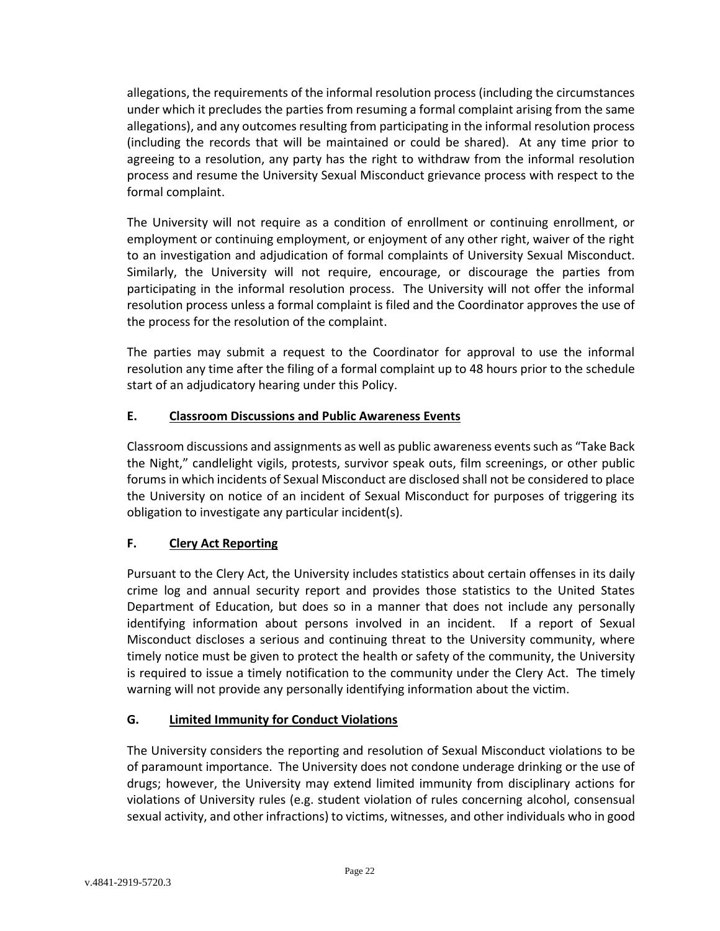allegations, the requirements of the informal resolution process (including the circumstances under which it precludes the parties from resuming a formal complaint arising from the same allegations), and any outcomes resulting from participating in the informal resolution process (including the records that will be maintained or could be shared). At any time prior to agreeing to a resolution, any party has the right to withdraw from the informal resolution process and resume the University Sexual Misconduct grievance process with respect to the formal complaint.

The University will not require as a condition of enrollment or continuing enrollment, or employment or continuing employment, or enjoyment of any other right, waiver of the right to an investigation and adjudication of formal complaints of University Sexual Misconduct. Similarly, the University will not require, encourage, or discourage the parties from participating in the informal resolution process. The University will not offer the informal resolution process unless a formal complaint is filed and the Coordinator approves the use of the process for the resolution of the complaint.

The parties may submit a request to the Coordinator for approval to use the informal resolution any time after the filing of a formal complaint up to 48 hours prior to the schedule start of an adjudicatory hearing under this Policy.

# <span id="page-21-0"></span>**E. Classroom Discussions and Public Awareness Events**

Classroom discussions and assignments as well as public awareness events such as "Take Back the Night," candlelight vigils, protests, survivor speak outs, film screenings, or other public forums in which incidents of Sexual Misconduct are disclosed shall not be considered to place the University on notice of an incident of Sexual Misconduct for purposes of triggering its obligation to investigate any particular incident(s).

# <span id="page-21-1"></span>**F. Clery Act Reporting**

Pursuant to the Clery Act, the University includes statistics about certain offenses in its daily crime log and annual security report and provides those statistics to the United States Department of Education, but does so in a manner that does not include any personally identifying information about persons involved in an incident. If a report of Sexual Misconduct discloses a serious and continuing threat to the University community, where timely notice must be given to protect the health or safety of the community, the University is required to issue a timely notification to the community under the Clery Act. The timely warning will not provide any personally identifying information about the victim.

# <span id="page-21-2"></span>**G. Limited Immunity for Conduct Violations**

The University considers the reporting and resolution of Sexual Misconduct violations to be of paramount importance. The University does not condone underage drinking or the use of drugs; however, the University may extend limited immunity from disciplinary actions for violations of University rules (e.g. student violation of rules concerning alcohol, consensual sexual activity, and other infractions) to victims, witnesses, and other individuals who in good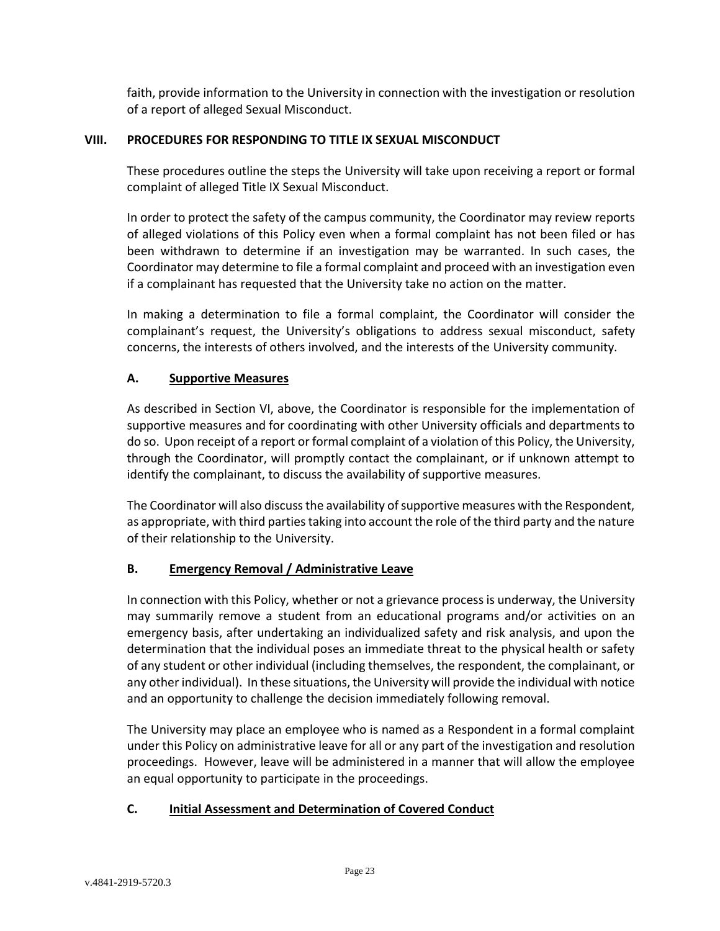faith, provide information to the University in connection with the investigation or resolution of a report of alleged Sexual Misconduct.

### <span id="page-22-0"></span>**VIII. PROCEDURES FOR RESPONDING TO TITLE IX SEXUAL MISCONDUCT**

These procedures outline the steps the University will take upon receiving a report or formal complaint of alleged Title IX Sexual Misconduct.

In order to protect the safety of the campus community, the Coordinator may review reports of alleged violations of this Policy even when a formal complaint has not been filed or has been withdrawn to determine if an investigation may be warranted. In such cases, the Coordinator may determine to file a formal complaint and proceed with an investigation even if a complainant has requested that the University take no action on the matter.

In making a determination to file a formal complaint, the Coordinator will consider the complainant's request, the University's obligations to address sexual misconduct, safety concerns, the interests of others involved, and the interests of the University community.

## <span id="page-22-1"></span>**A. Supportive Measures**

As described in Section VI, above, the Coordinator is responsible for the implementation of supportive measures and for coordinating with other University officials and departments to do so. Upon receipt of a report or formal complaint of a violation of this Policy, the University, through the Coordinator, will promptly contact the complainant, or if unknown attempt to identify the complainant, to discuss the availability of supportive measures.

The Coordinator will also discuss the availability of supportive measures with the Respondent, as appropriate, with third parties taking into account the role of the third party and the nature of their relationship to the University.

## <span id="page-22-2"></span>**B. Emergency Removal / Administrative Leave**

In connection with this Policy, whether or not a grievance process is underway, the University may summarily remove a student from an educational programs and/or activities on an emergency basis, after undertaking an individualized safety and risk analysis, and upon the determination that the individual poses an immediate threat to the physical health or safety of any student or other individual (including themselves, the respondent, the complainant, or any other individual). In these situations, the University will provide the individual with notice and an opportunity to challenge the decision immediately following removal.

The University may place an employee who is named as a Respondent in a formal complaint under this Policy on administrative leave for all or any part of the investigation and resolution proceedings. However, leave will be administered in a manner that will allow the employee an equal opportunity to participate in the proceedings.

## <span id="page-22-3"></span>**C. Initial Assessment and Determination of Covered Conduct**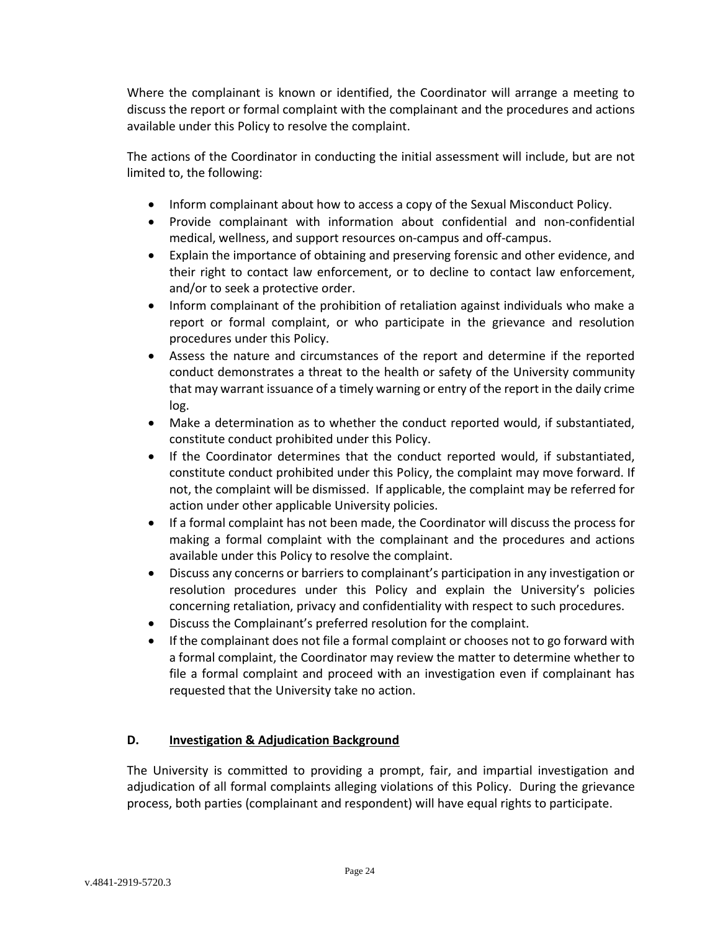Where the complainant is known or identified, the Coordinator will arrange a meeting to discuss the report or formal complaint with the complainant and the procedures and actions available under this Policy to resolve the complaint.

The actions of the Coordinator in conducting the initial assessment will include, but are not limited to, the following:

- Inform complainant about how to access a copy of the Sexual Misconduct Policy.
- Provide complainant with information about confidential and non-confidential medical, wellness, and support resources on-campus and off-campus.
- Explain the importance of obtaining and preserving forensic and other evidence, and their right to contact law enforcement, or to decline to contact law enforcement, and/or to seek a protective order.
- Inform complainant of the prohibition of retaliation against individuals who make a report or formal complaint, or who participate in the grievance and resolution procedures under this Policy.
- Assess the nature and circumstances of the report and determine if the reported conduct demonstrates a threat to the health or safety of the University community that may warrant issuance of a timely warning or entry of the report in the daily crime log.
- Make a determination as to whether the conduct reported would, if substantiated, constitute conduct prohibited under this Policy.
- If the Coordinator determines that the conduct reported would, if substantiated, constitute conduct prohibited under this Policy, the complaint may move forward. If not, the complaint will be dismissed. If applicable, the complaint may be referred for action under other applicable University policies.
- If a formal complaint has not been made, the Coordinator will discuss the process for making a formal complaint with the complainant and the procedures and actions available under this Policy to resolve the complaint.
- Discuss any concerns or barriers to complainant's participation in any investigation or resolution procedures under this Policy and explain the University's policies concerning retaliation, privacy and confidentiality with respect to such procedures.
- Discuss the Complainant's preferred resolution for the complaint.
- If the complainant does not file a formal complaint or chooses not to go forward with a formal complaint, the Coordinator may review the matter to determine whether to file a formal complaint and proceed with an investigation even if complainant has requested that the University take no action.

# <span id="page-23-0"></span>**D. Investigation & Adjudication Background**

The University is committed to providing a prompt, fair, and impartial investigation and adjudication of all formal complaints alleging violations of this Policy. During the grievance process, both parties (complainant and respondent) will have equal rights to participate.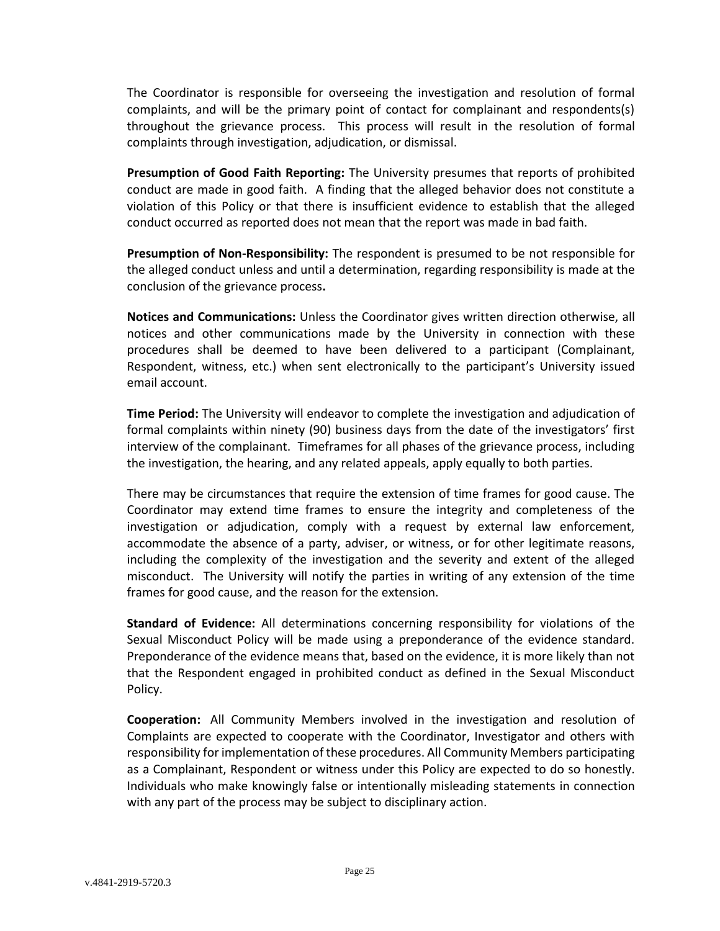The Coordinator is responsible for overseeing the investigation and resolution of formal complaints, and will be the primary point of contact for complainant and respondents(s) throughout the grievance process. This process will result in the resolution of formal complaints through investigation, adjudication, or dismissal.

**Presumption of Good Faith Reporting:** The University presumes that reports of prohibited conduct are made in good faith. A finding that the alleged behavior does not constitute a violation of this Policy or that there is insufficient evidence to establish that the alleged conduct occurred as reported does not mean that the report was made in bad faith.

**Presumption of Non-Responsibility:** The respondent is presumed to be not responsible for the alleged conduct unless and until a determination, regarding responsibility is made at the conclusion of the grievance process**.**

**Notices and Communications:** Unless the Coordinator gives written direction otherwise, all notices and other communications made by the University in connection with these procedures shall be deemed to have been delivered to a participant (Complainant, Respondent, witness, etc.) when sent electronically to the participant's University issued email account.

**Time Period:** The University will endeavor to complete the investigation and adjudication of formal complaints within ninety (90) business days from the date of the investigators' first interview of the complainant. Timeframes for all phases of the grievance process, including the investigation, the hearing, and any related appeals, apply equally to both parties.

There may be circumstances that require the extension of time frames for good cause. The Coordinator may extend time frames to ensure the integrity and completeness of the investigation or adjudication, comply with a request by external law enforcement, accommodate the absence of a party, adviser, or witness, or for other legitimate reasons, including the complexity of the investigation and the severity and extent of the alleged misconduct. The University will notify the parties in writing of any extension of the time frames for good cause, and the reason for the extension.

**Standard of Evidence:** All determinations concerning responsibility for violations of the Sexual Misconduct Policy will be made using a preponderance of the evidence standard. Preponderance of the evidence means that, based on the evidence, it is more likely than not that the Respondent engaged in prohibited conduct as defined in the Sexual Misconduct Policy.

**Cooperation:** All Community Members involved in the investigation and resolution of Complaints are expected to cooperate with the Coordinator, Investigator and others with responsibility for implementation of these procedures. All Community Members participating as a Complainant, Respondent or witness under this Policy are expected to do so honestly. Individuals who make knowingly false or intentionally misleading statements in connection with any part of the process may be subject to disciplinary action.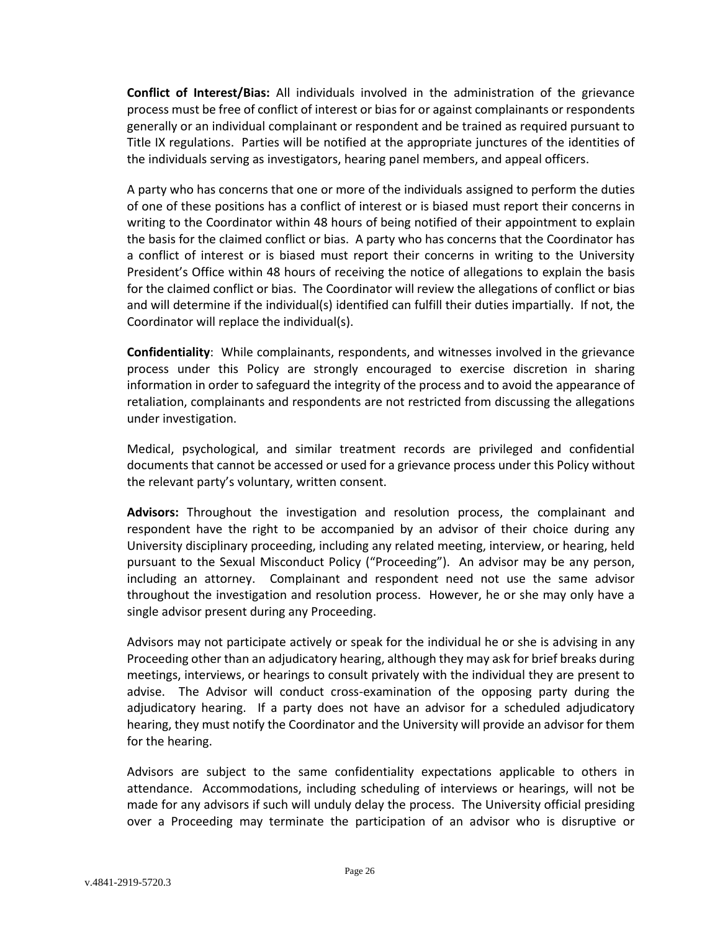**Conflict of Interest/Bias:** All individuals involved in the administration of the grievance process must be free of conflict of interest or bias for or against complainants or respondents generally or an individual complainant or respondent and be trained as required pursuant to Title IX regulations. Parties will be notified at the appropriate junctures of the identities of the individuals serving as investigators, hearing panel members, and appeal officers.

A party who has concerns that one or more of the individuals assigned to perform the duties of one of these positions has a conflict of interest or is biased must report their concerns in writing to the Coordinator within 48 hours of being notified of their appointment to explain the basis for the claimed conflict or bias. A party who has concerns that the Coordinator has a conflict of interest or is biased must report their concerns in writing to the University President's Office within 48 hours of receiving the notice of allegations to explain the basis for the claimed conflict or bias. The Coordinator will review the allegations of conflict or bias and will determine if the individual(s) identified can fulfill their duties impartially. If not, the Coordinator will replace the individual(s).

**Confidentiality**: While complainants, respondents, and witnesses involved in the grievance process under this Policy are strongly encouraged to exercise discretion in sharing information in order to safeguard the integrity of the process and to avoid the appearance of retaliation, complainants and respondents are not restricted from discussing the allegations under investigation.

Medical, psychological, and similar treatment records are privileged and confidential documents that cannot be accessed or used for a grievance process under this Policy without the relevant party's voluntary, written consent.

**Advisors:** Throughout the investigation and resolution process, the complainant and respondent have the right to be accompanied by an advisor of their choice during any University disciplinary proceeding, including any related meeting, interview, or hearing, held pursuant to the Sexual Misconduct Policy ("Proceeding"). An advisor may be any person, including an attorney. Complainant and respondent need not use the same advisor throughout the investigation and resolution process. However, he or she may only have a single advisor present during any Proceeding.

Advisors may not participate actively or speak for the individual he or she is advising in any Proceeding other than an adjudicatory hearing, although they may ask for brief breaks during meetings, interviews, or hearings to consult privately with the individual they are present to advise. The Advisor will conduct cross-examination of the opposing party during the adjudicatory hearing. If a party does not have an advisor for a scheduled adjudicatory hearing, they must notify the Coordinator and the University will provide an advisor for them for the hearing.

Advisors are subject to the same confidentiality expectations applicable to others in attendance. Accommodations, including scheduling of interviews or hearings, will not be made for any advisors if such will unduly delay the process. The University official presiding over a Proceeding may terminate the participation of an advisor who is disruptive or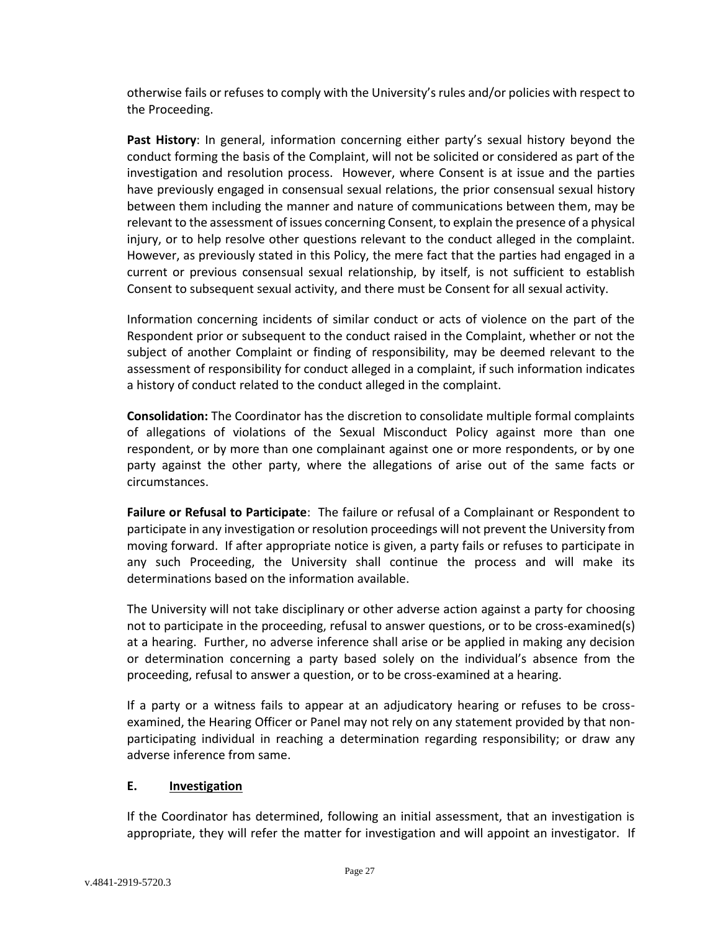otherwise fails or refuses to comply with the University's rules and/or policies with respect to the Proceeding.

**Past History**: In general, information concerning either party's sexual history beyond the conduct forming the basis of the Complaint, will not be solicited or considered as part of the investigation and resolution process. However, where Consent is at issue and the parties have previously engaged in consensual sexual relations, the prior consensual sexual history between them including the manner and nature of communications between them, may be relevant to the assessment of issues concerning Consent, to explain the presence of a physical injury, or to help resolve other questions relevant to the conduct alleged in the complaint. However, as previously stated in this Policy, the mere fact that the parties had engaged in a current or previous consensual sexual relationship, by itself, is not sufficient to establish Consent to subsequent sexual activity, and there must be Consent for all sexual activity.

Information concerning incidents of similar conduct or acts of violence on the part of the Respondent prior or subsequent to the conduct raised in the Complaint, whether or not the subject of another Complaint or finding of responsibility, may be deemed relevant to the assessment of responsibility for conduct alleged in a complaint, if such information indicates a history of conduct related to the conduct alleged in the complaint.

**Consolidation:** The Coordinator has the discretion to consolidate multiple formal complaints of allegations of violations of the Sexual Misconduct Policy against more than one respondent, or by more than one complainant against one or more respondents, or by one party against the other party, where the allegations of arise out of the same facts or circumstances.

**Failure or Refusal to Participate**:The failure or refusal of a Complainant or Respondent to participate in any investigation or resolution proceedings will not prevent the University from moving forward. If after appropriate notice is given, a party fails or refuses to participate in any such Proceeding, the University shall continue the process and will make its determinations based on the information available.

The University will not take disciplinary or other adverse action against a party for choosing not to participate in the proceeding, refusal to answer questions, or to be cross-examined(s) at a hearing. Further, no adverse inference shall arise or be applied in making any decision or determination concerning a party based solely on the individual's absence from the proceeding, refusal to answer a question, or to be cross-examined at a hearing.

If a party or a witness fails to appear at an adjudicatory hearing or refuses to be crossexamined, the Hearing Officer or Panel may not rely on any statement provided by that nonparticipating individual in reaching a determination regarding responsibility; or draw any adverse inference from same.

## <span id="page-26-0"></span>**E. Investigation**

If the Coordinator has determined, following an initial assessment, that an investigation is appropriate, they will refer the matter for investigation and will appoint an investigator. If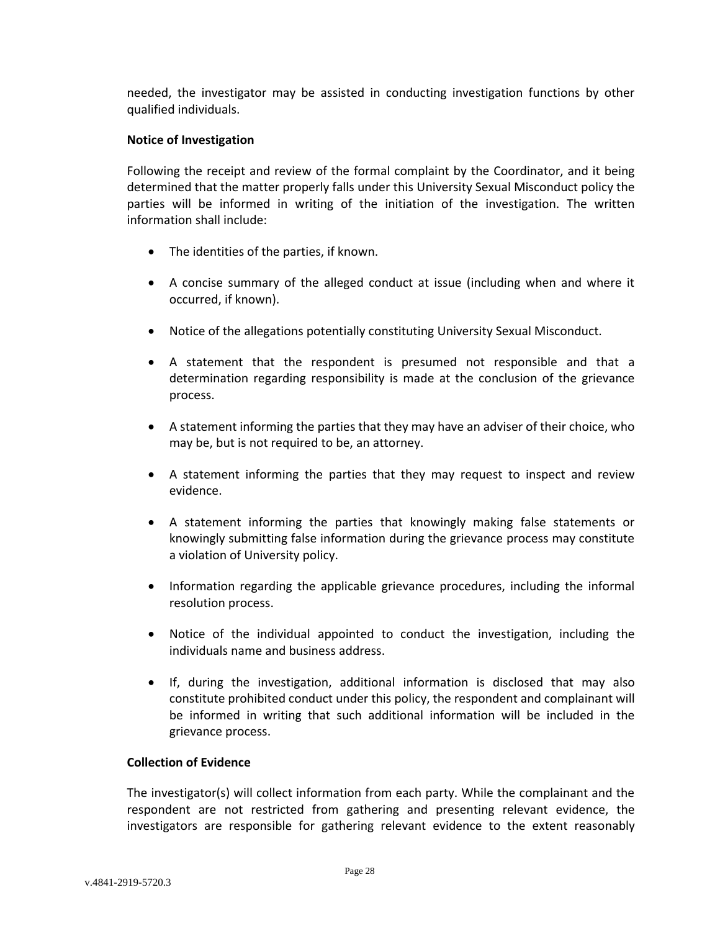needed, the investigator may be assisted in conducting investigation functions by other qualified individuals.

#### **Notice of Investigation**

Following the receipt and review of the formal complaint by the Coordinator, and it being determined that the matter properly falls under this University Sexual Misconduct policy the parties will be informed in writing of the initiation of the investigation. The written information shall include:

- The identities of the parties, if known.
- A concise summary of the alleged conduct at issue (including when and where it occurred, if known).
- Notice of the allegations potentially constituting University Sexual Misconduct.
- A statement that the respondent is presumed not responsible and that a determination regarding responsibility is made at the conclusion of the grievance process.
- A statement informing the parties that they may have an adviser of their choice, who may be, but is not required to be, an attorney.
- A statement informing the parties that they may request to inspect and review evidence.
- A statement informing the parties that knowingly making false statements or knowingly submitting false information during the grievance process may constitute a violation of University policy.
- Information regarding the applicable grievance procedures, including the informal resolution process.
- Notice of the individual appointed to conduct the investigation, including the individuals name and business address.
- If, during the investigation, additional information is disclosed that may also constitute prohibited conduct under this policy, the respondent and complainant will be informed in writing that such additional information will be included in the grievance process.

### **Collection of Evidence**

The investigator(s) will collect information from each party. While the complainant and the respondent are not restricted from gathering and presenting relevant evidence, the investigators are responsible for gathering relevant evidence to the extent reasonably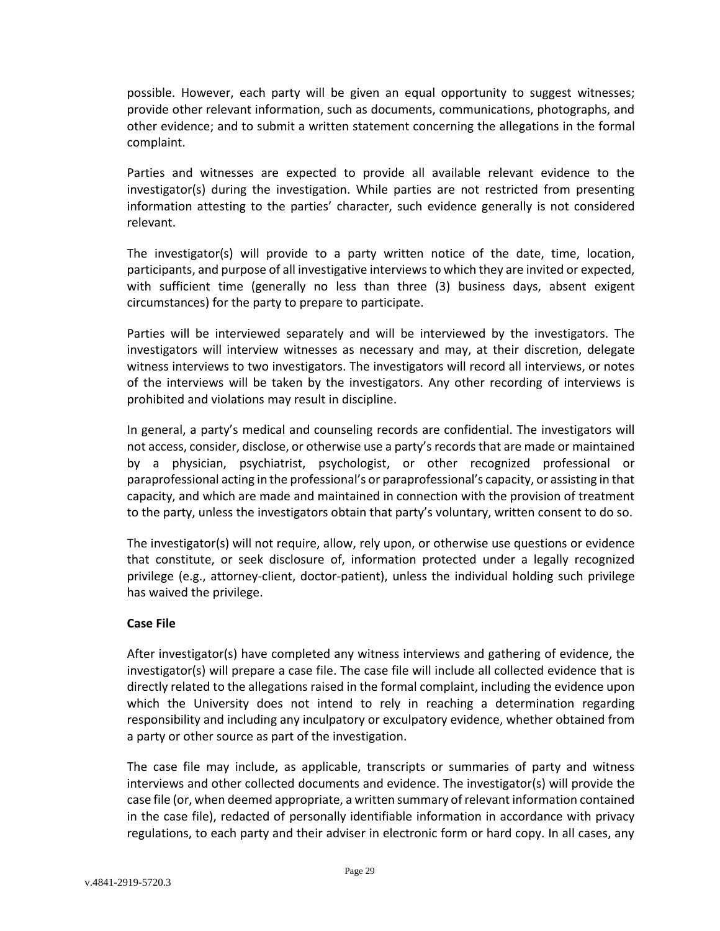possible. However, each party will be given an equal opportunity to suggest witnesses; provide other relevant information, such as documents, communications, photographs, and other evidence; and to submit a written statement concerning the allegations in the formal complaint.

Parties and witnesses are expected to provide all available relevant evidence to the investigator(s) during the investigation. While parties are not restricted from presenting information attesting to the parties' character, such evidence generally is not considered relevant.

The investigator(s) will provide to a party written notice of the date, time, location, participants, and purpose of all investigative interviews to which they are invited or expected, with sufficient time (generally no less than three (3) business days, absent exigent circumstances) for the party to prepare to participate.

Parties will be interviewed separately and will be interviewed by the investigators. The investigators will interview witnesses as necessary and may, at their discretion, delegate witness interviews to two investigators. The investigators will record all interviews, or notes of the interviews will be taken by the investigators. Any other recording of interviews is prohibited and violations may result in discipline.

In general, a party's medical and counseling records are confidential. The investigators will not access, consider, disclose, or otherwise use a party's records that are made or maintained by a physician, psychiatrist, psychologist, or other recognized professional or paraprofessional acting in the professional's or paraprofessional's capacity, or assisting in that capacity, and which are made and maintained in connection with the provision of treatment to the party, unless the investigators obtain that party's voluntary, written consent to do so.

The investigator(s) will not require, allow, rely upon, or otherwise use questions or evidence that constitute, or seek disclosure of, information protected under a legally recognized privilege (e.g., attorney-client, doctor-patient), unless the individual holding such privilege has waived the privilege.

#### **Case File**

After investigator(s) have completed any witness interviews and gathering of evidence, the investigator(s) will prepare a case file. The case file will include all collected evidence that is directly related to the allegations raised in the formal complaint, including the evidence upon which the University does not intend to rely in reaching a determination regarding responsibility and including any inculpatory or exculpatory evidence, whether obtained from a party or other source as part of the investigation.

The case file may include, as applicable, transcripts or summaries of party and witness interviews and other collected documents and evidence. The investigator(s) will provide the case file (or, when deemed appropriate, a written summary of relevant information contained in the case file), redacted of personally identifiable information in accordance with privacy regulations, to each party and their adviser in electronic form or hard copy. In all cases, any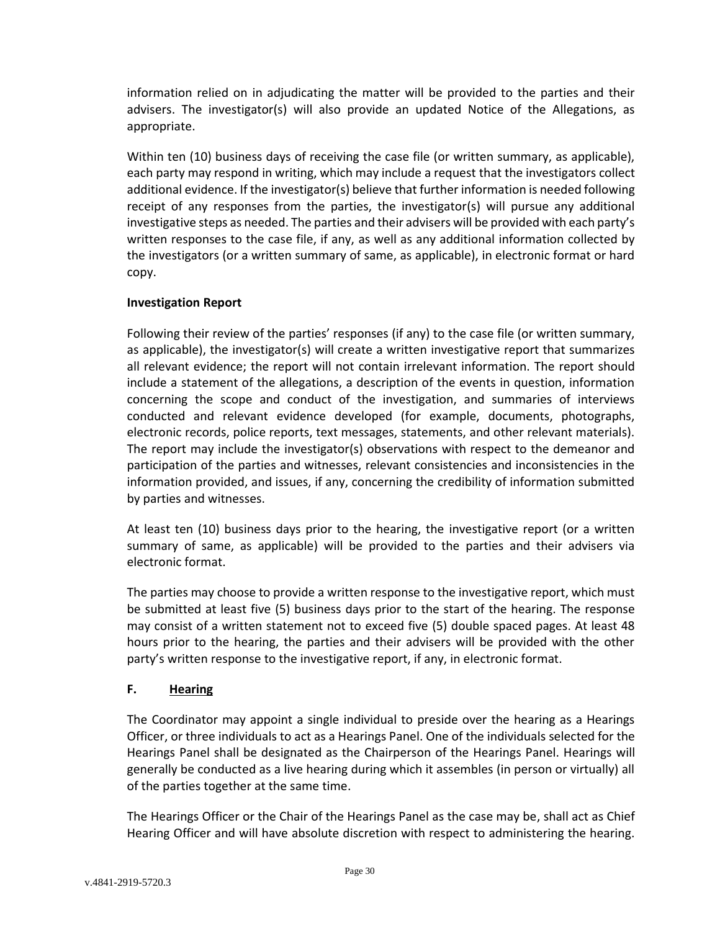information relied on in adjudicating the matter will be provided to the parties and their advisers. The investigator(s) will also provide an updated Notice of the Allegations, as appropriate.

Within ten (10) business days of receiving the case file (or written summary, as applicable), each party may respond in writing, which may include a request that the investigators collect additional evidence. If the investigator(s) believe that further information is needed following receipt of any responses from the parties, the investigator(s) will pursue any additional investigative steps as needed. The parties and their advisers will be provided with each party's written responses to the case file, if any, as well as any additional information collected by the investigators (or a written summary of same, as applicable), in electronic format or hard copy.

## **Investigation Report**

Following their review of the parties' responses (if any) to the case file (or written summary, as applicable), the investigator(s) will create a written investigative report that summarizes all relevant evidence; the report will not contain irrelevant information. The report should include a statement of the allegations, a description of the events in question, information concerning the scope and conduct of the investigation, and summaries of interviews conducted and relevant evidence developed (for example, documents, photographs, electronic records, police reports, text messages, statements, and other relevant materials). The report may include the investigator(s) observations with respect to the demeanor and participation of the parties and witnesses, relevant consistencies and inconsistencies in the information provided, and issues, if any, concerning the credibility of information submitted by parties and witnesses.

At least ten (10) business days prior to the hearing, the investigative report (or a written summary of same, as applicable) will be provided to the parties and their advisers via electronic format.

The parties may choose to provide a written response to the investigative report, which must be submitted at least five (5) business days prior to the start of the hearing. The response may consist of a written statement not to exceed five (5) double spaced pages. At least 48 hours prior to the hearing, the parties and their advisers will be provided with the other party's written response to the investigative report, if any, in electronic format.

## <span id="page-29-0"></span>**F. Hearing**

The Coordinator may appoint a single individual to preside over the hearing as a Hearings Officer, or three individuals to act as a Hearings Panel. One of the individuals selected for the Hearings Panel shall be designated as the Chairperson of the Hearings Panel. Hearings will generally be conducted as a live hearing during which it assembles (in person or virtually) all of the parties together at the same time.

The Hearings Officer or the Chair of the Hearings Panel as the case may be, shall act as Chief Hearing Officer and will have absolute discretion with respect to administering the hearing.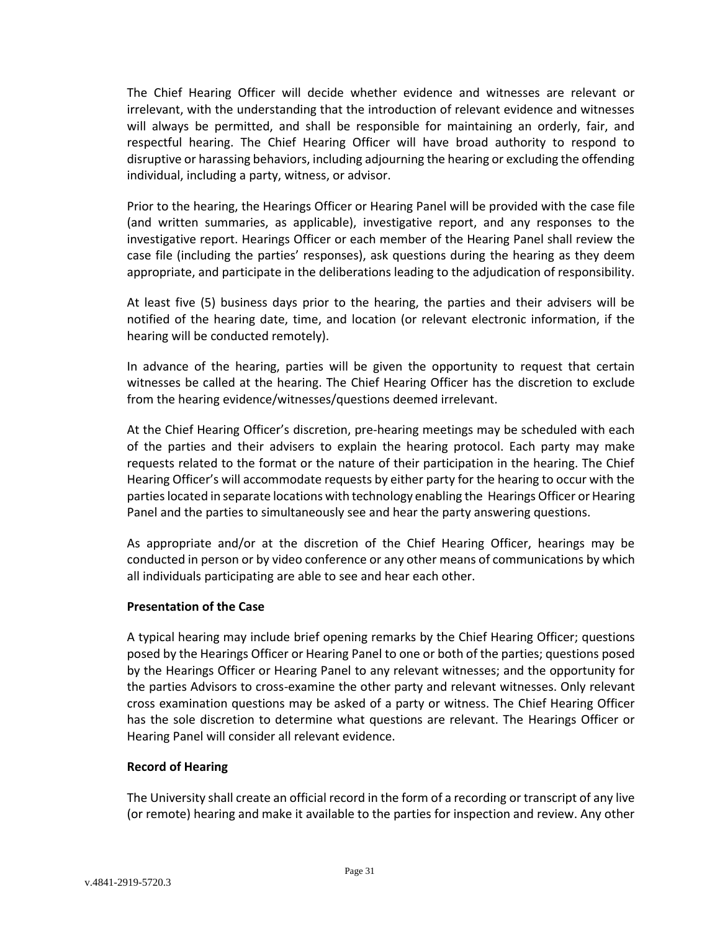The Chief Hearing Officer will decide whether evidence and witnesses are relevant or irrelevant, with the understanding that the introduction of relevant evidence and witnesses will always be permitted, and shall be responsible for maintaining an orderly, fair, and respectful hearing. The Chief Hearing Officer will have broad authority to respond to disruptive or harassing behaviors, including adjourning the hearing or excluding the offending individual, including a party, witness, or advisor.

Prior to the hearing, the Hearings Officer or Hearing Panel will be provided with the case file (and written summaries, as applicable), investigative report, and any responses to the investigative report. Hearings Officer or each member of the Hearing Panel shall review the case file (including the parties' responses), ask questions during the hearing as they deem appropriate, and participate in the deliberations leading to the adjudication of responsibility.

At least five (5) business days prior to the hearing, the parties and their advisers will be notified of the hearing date, time, and location (or relevant electronic information, if the hearing will be conducted remotely).

In advance of the hearing, parties will be given the opportunity to request that certain witnesses be called at the hearing. The Chief Hearing Officer has the discretion to exclude from the hearing evidence/witnesses/questions deemed irrelevant.

At the Chief Hearing Officer's discretion, pre-hearing meetings may be scheduled with each of the parties and their advisers to explain the hearing protocol. Each party may make requests related to the format or the nature of their participation in the hearing. The Chief Hearing Officer's will accommodate requests by either party for the hearing to occur with the parties located in separate locations with technology enabling the Hearings Officer or Hearing Panel and the parties to simultaneously see and hear the party answering questions.

As appropriate and/or at the discretion of the Chief Hearing Officer, hearings may be conducted in person or by video conference or any other means of communications by which all individuals participating are able to see and hear each other.

## **Presentation of the Case**

A typical hearing may include brief opening remarks by the Chief Hearing Officer; questions posed by the Hearings Officer or Hearing Panel to one or both of the parties; questions posed by the Hearings Officer or Hearing Panel to any relevant witnesses; and the opportunity for the parties Advisors to cross-examine the other party and relevant witnesses. Only relevant cross examination questions may be asked of a party or witness. The Chief Hearing Officer has the sole discretion to determine what questions are relevant. The Hearings Officer or Hearing Panel will consider all relevant evidence.

#### **Record of Hearing**

The University shall create an official record in the form of a recording or transcript of any live (or remote) hearing and make it available to the parties for inspection and review. Any other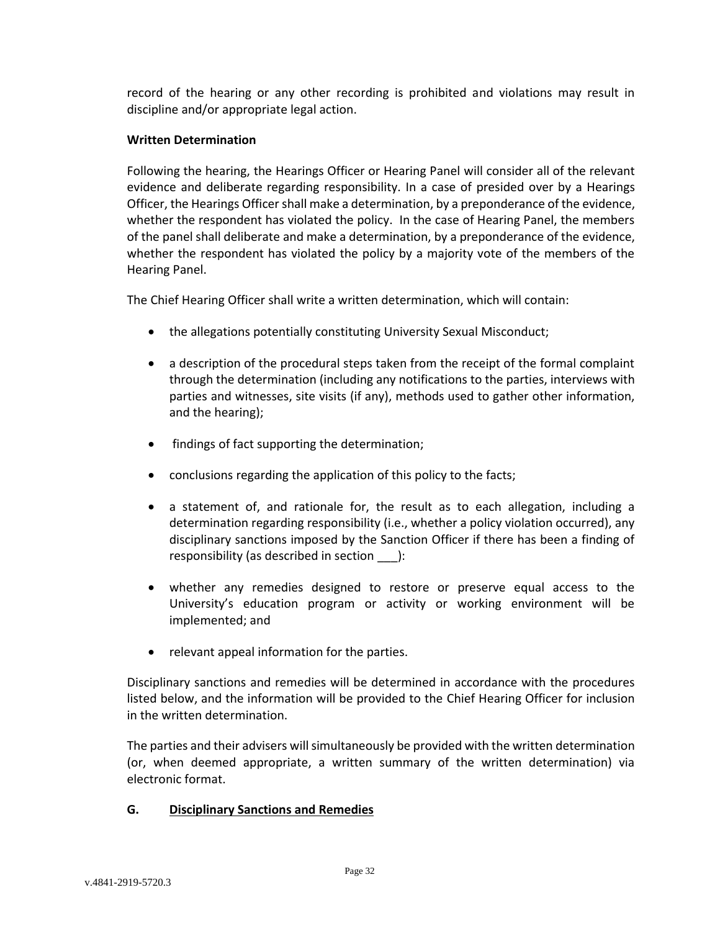record of the hearing or any other recording is prohibited and violations may result in discipline and/or appropriate legal action.

### **Written Determination**

Following the hearing, the Hearings Officer or Hearing Panel will consider all of the relevant evidence and deliberate regarding responsibility. In a case of presided over by a Hearings Officer, the Hearings Officer shall make a determination, by a preponderance of the evidence, whether the respondent has violated the policy. In the case of Hearing Panel, the members of the panel shall deliberate and make a determination, by a preponderance of the evidence, whether the respondent has violated the policy by a majority vote of the members of the Hearing Panel.

The Chief Hearing Officer shall write a written determination, which will contain:

- the allegations potentially constituting University Sexual Misconduct;
- a description of the procedural steps taken from the receipt of the formal complaint through the determination (including any notifications to the parties, interviews with parties and witnesses, site visits (if any), methods used to gather other information, and the hearing);
- findings of fact supporting the determination;
- conclusions regarding the application of this policy to the facts;
- a statement of, and rationale for, the result as to each allegation, including a determination regarding responsibility (i.e., whether a policy violation occurred), any disciplinary sanctions imposed by the Sanction Officer if there has been a finding of responsibility (as described in section ):
- whether any remedies designed to restore or preserve equal access to the University's education program or activity or working environment will be implemented; and
- relevant appeal information for the parties.

Disciplinary sanctions and remedies will be determined in accordance with the procedures listed below, and the information will be provided to the Chief Hearing Officer for inclusion in the written determination.

The parties and their advisers will simultaneously be provided with the written determination (or, when deemed appropriate, a written summary of the written determination) via electronic format.

## <span id="page-31-0"></span>**G. Disciplinary Sanctions and Remedies**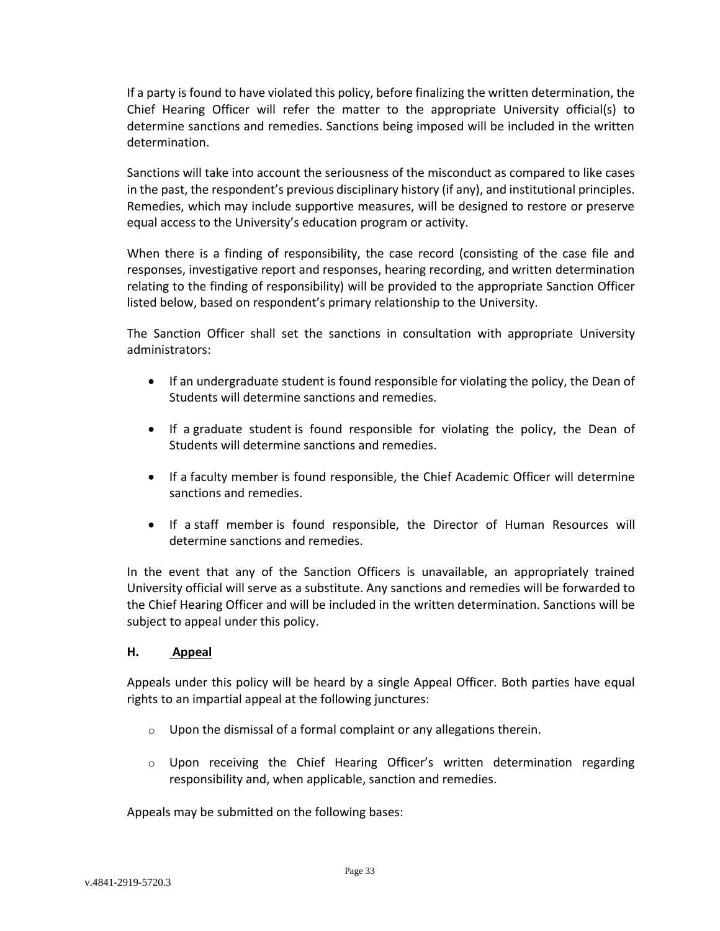If a party is found to have violated this policy, before finalizing the written determination, the Chief Hearing Officer will refer the matter to the appropriate University official(s) to determine sanctions and remedies. Sanctions being imposed will be included in the written determination.

Sanctions will take into account the seriousness of the misconduct as compared to like cases in the past, the respondent's previous disciplinary history (if any), and institutional principles. Remedies, which may include supportive measures, will be designed to restore or preserve equal access to the University's education program or activity.

When there is a finding of responsibility, the case record (consisting of the case file and responses, investigative report and responses, hearing recording, and written determination relating to the finding of responsibility) will be provided to the appropriate Sanction Officer listed below, based on respondent's primary relationship to the University.

The Sanction Officer shall set the sanctions in consultation with appropriate University administrators:

- If an undergraduate student is found responsible for violating the policy, the Dean of Students will determine sanctions and remedies.
- If a graduate student is found responsible for violating the policy, the Dean of Students will determine sanctions and remedies.
- If a faculty member is found responsible, the Chief Academic Officer will determine sanctions and remedies.
- If a staff member is found responsible, the Director of Human Resources will determine sanctions and remedies.

In the event that any of the Sanction Officers is unavailable, an appropriately trained University official will serve as a substitute. Any sanctions and remedies will be forwarded to the Chief Hearing Officer and will be included in the written determination. Sanctions will be subject to appeal under this policy.

## <span id="page-32-0"></span>**H. Appeal**

Appeals under this policy will be heard by a single Appeal Officer. Both parties have equal rights to an impartial appeal at the following junctures:

- $\circ$  Upon the dismissal of a formal complaint or any allegations therein.
- $\circ$  Upon receiving the Chief Hearing Officer's written determination regarding responsibility and, when applicable, sanction and remedies.

Appeals may be submitted on the following bases: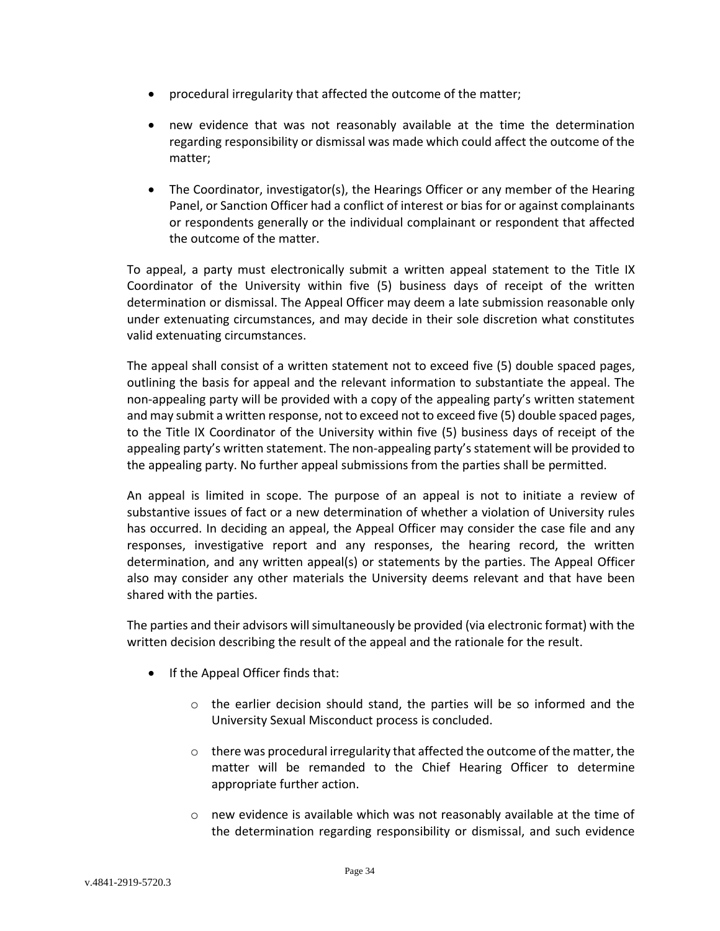- procedural irregularity that affected the outcome of the matter;
- new evidence that was not reasonably available at the time the determination regarding responsibility or dismissal was made which could affect the outcome of the matter;
- The Coordinator, investigator(s), the Hearings Officer or any member of the Hearing Panel, or Sanction Officer had a conflict of interest or bias for or against complainants or respondents generally or the individual complainant or respondent that affected the outcome of the matter.

To appeal, a party must electronically submit a written appeal statement to the Title IX Coordinator of the University within five (5) business days of receipt of the written determination or dismissal. The Appeal Officer may deem a late submission reasonable only under extenuating circumstances, and may decide in their sole discretion what constitutes valid extenuating circumstances.

The appeal shall consist of a written statement not to exceed five (5) double spaced pages, outlining the basis for appeal and the relevant information to substantiate the appeal. The non-appealing party will be provided with a copy of the appealing party's written statement and may submit a written response, not to exceed not to exceed five (5) double spaced pages, to the Title IX Coordinator of the University within five (5) business days of receipt of the appealing party's written statement. The non-appealing party's statement will be provided to the appealing party. No further appeal submissions from the parties shall be permitted.

An appeal is limited in scope. The purpose of an appeal is not to initiate a review of substantive issues of fact or a new determination of whether a violation of University rules has occurred. In deciding an appeal, the Appeal Officer may consider the case file and any responses, investigative report and any responses, the hearing record, the written determination, and any written appeal(s) or statements by the parties. The Appeal Officer also may consider any other materials the University deems relevant and that have been shared with the parties.

The parties and their advisors will simultaneously be provided (via electronic format) with the written decision describing the result of the appeal and the rationale for the result.

- If the Appeal Officer finds that:
	- $\circ$  the earlier decision should stand, the parties will be so informed and the University Sexual Misconduct process is concluded.
	- $\circ$  there was procedural irregularity that affected the outcome of the matter, the matter will be remanded to the Chief Hearing Officer to determine appropriate further action.
	- o new evidence is available which was not reasonably available at the time of the determination regarding responsibility or dismissal, and such evidence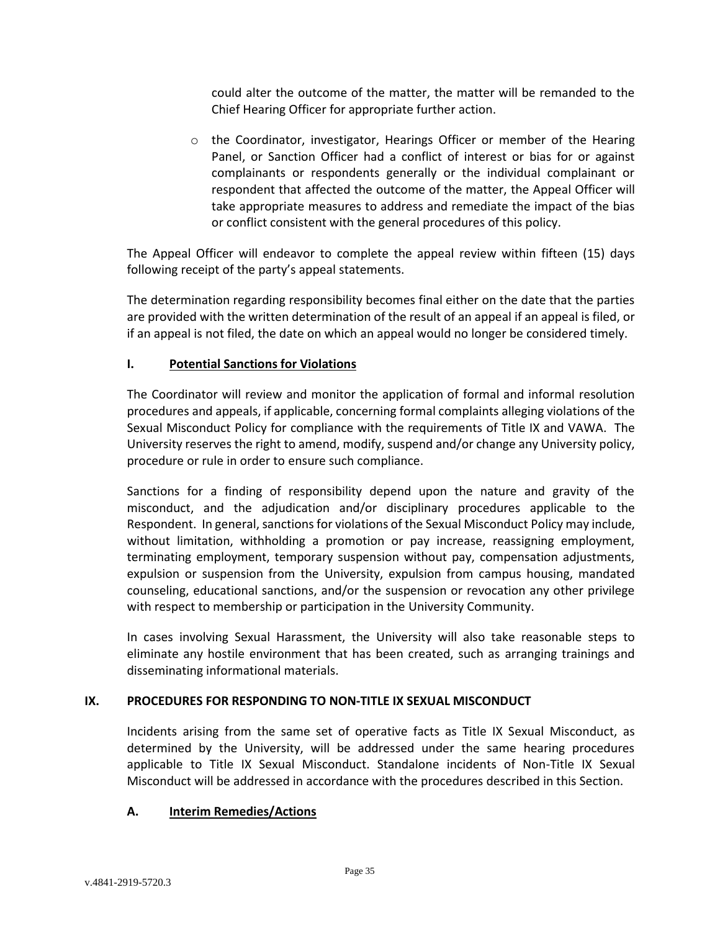could alter the outcome of the matter, the matter will be remanded to the Chief Hearing Officer for appropriate further action.

o the Coordinator, investigator, Hearings Officer or member of the Hearing Panel, or Sanction Officer had a conflict of interest or bias for or against complainants or respondents generally or the individual complainant or respondent that affected the outcome of the matter, the Appeal Officer will take appropriate measures to address and remediate the impact of the bias or conflict consistent with the general procedures of this policy.

The Appeal Officer will endeavor to complete the appeal review within fifteen (15) days following receipt of the party's appeal statements.

The determination regarding responsibility becomes final either on the date that the parties are provided with the written determination of the result of an appeal if an appeal is filed, or if an appeal is not filed, the date on which an appeal would no longer be considered timely.

## <span id="page-34-0"></span>**I. Potential Sanctions for Violations**

The Coordinator will review and monitor the application of formal and informal resolution procedures and appeals, if applicable, concerning formal complaints alleging violations of the Sexual Misconduct Policy for compliance with the requirements of Title IX and VAWA. The University reserves the right to amend, modify, suspend and/or change any University policy, procedure or rule in order to ensure such compliance.

Sanctions for a finding of responsibility depend upon the nature and gravity of the misconduct, and the adjudication and/or disciplinary procedures applicable to the Respondent. In general, sanctions for violations of the Sexual Misconduct Policy may include, without limitation, withholding a promotion or pay increase, reassigning employment, terminating employment, temporary suspension without pay, compensation adjustments, expulsion or suspension from the University, expulsion from campus housing, mandated counseling, educational sanctions, and/or the suspension or revocation any other privilege with respect to membership or participation in the University Community.

In cases involving Sexual Harassment, the University will also take reasonable steps to eliminate any hostile environment that has been created, such as arranging trainings and disseminating informational materials.

## <span id="page-34-1"></span>**IX. PROCEDURES FOR RESPONDING TO NON-TITLE IX SEXUAL MISCONDUCT**

Incidents arising from the same set of operative facts as Title IX Sexual Misconduct, as determined by the University, will be addressed under the same hearing procedures applicable to Title IX Sexual Misconduct. Standalone incidents of Non-Title IX Sexual Misconduct will be addressed in accordance with the procedures described in this Section.

## <span id="page-34-2"></span>**A. Interim Remedies/Actions**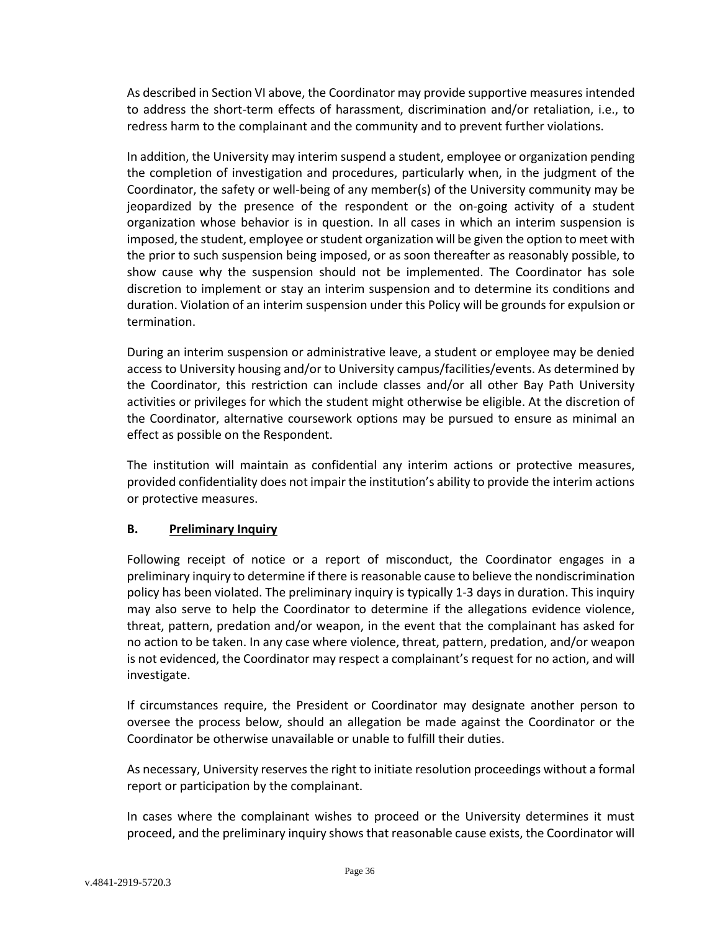As described in Section VI above, the Coordinator may provide supportive measures intended to address the short-term effects of harassment, discrimination and/or retaliation, i.e., to redress harm to the complainant and the community and to prevent further violations.

In addition, the University may interim suspend a student, employee or organization pending the completion of investigation and procedures, particularly when, in the judgment of the Coordinator, the safety or well-being of any member(s) of the University community may be jeopardized by the presence of the respondent or the on-going activity of a student organization whose behavior is in question. In all cases in which an interim suspension is imposed, the student, employee or student organization will be given the option to meet with the prior to such suspension being imposed, or as soon thereafter as reasonably possible, to show cause why the suspension should not be implemented. The Coordinator has sole discretion to implement or stay an interim suspension and to determine its conditions and duration. Violation of an interim suspension under this Policy will be grounds for expulsion or termination.

During an interim suspension or administrative leave, a student or employee may be denied access to University housing and/or to University campus/facilities/events. As determined by the Coordinator, this restriction can include classes and/or all other Bay Path University activities or privileges for which the student might otherwise be eligible. At the discretion of the Coordinator, alternative coursework options may be pursued to ensure as minimal an effect as possible on the Respondent.

The institution will maintain as confidential any interim actions or protective measures, provided confidentiality does not impair the institution's ability to provide the interim actions or protective measures.

## <span id="page-35-0"></span>**B. Preliminary Inquiry**

Following receipt of notice or a report of misconduct, the Coordinator engages in a preliminary inquiry to determine if there is reasonable cause to believe the nondiscrimination policy has been violated. The preliminary inquiry is typically 1-3 days in duration. This inquiry may also serve to help the Coordinator to determine if the allegations evidence violence, threat, pattern, predation and/or weapon, in the event that the complainant has asked for no action to be taken. In any case where violence, threat, pattern, predation, and/or weapon is not evidenced, the Coordinator may respect a complainant's request for no action, and will investigate.

If circumstances require, the President or Coordinator may designate another person to oversee the process below, should an allegation be made against the Coordinator or the Coordinator be otherwise unavailable or unable to fulfill their duties.

As necessary, University reserves the right to initiate resolution proceedings without a formal report or participation by the complainant.

In cases where the complainant wishes to proceed or the University determines it must proceed, and the preliminary inquiry shows that reasonable cause exists, the Coordinator will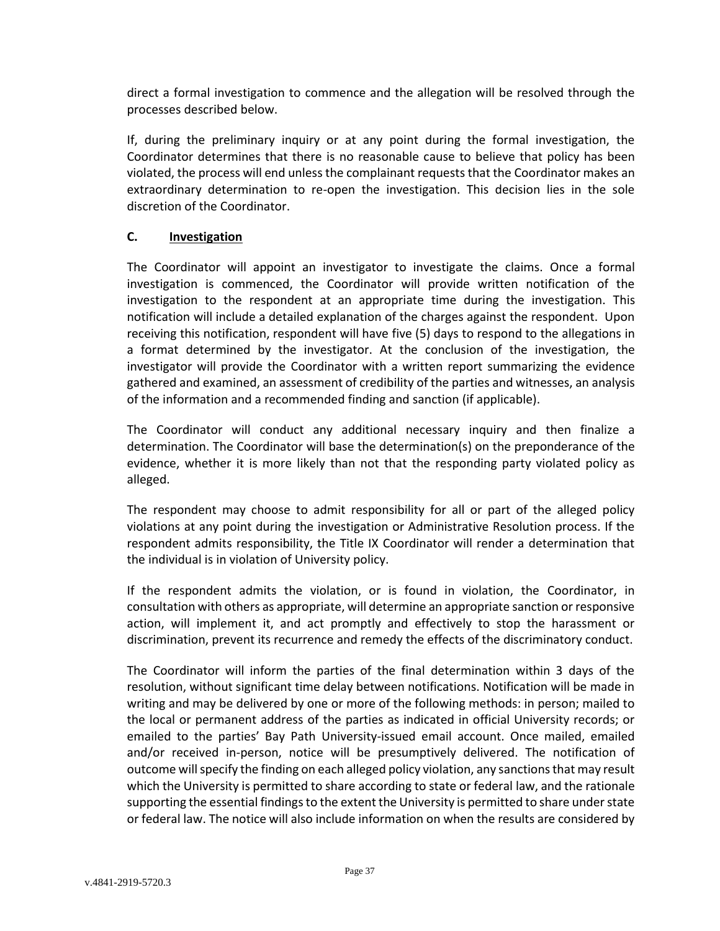direct a formal investigation to commence and the allegation will be resolved through the processes described below.

If, during the preliminary inquiry or at any point during the formal investigation, the Coordinator determines that there is no reasonable cause to believe that policy has been violated, the process will end unless the complainant requests that the Coordinator makes an extraordinary determination to re-open the investigation. This decision lies in the sole discretion of the Coordinator.

## <span id="page-36-0"></span>**C. Investigation**

The Coordinator will appoint an investigator to investigate the claims. Once a formal investigation is commenced, the Coordinator will provide written notification of the investigation to the respondent at an appropriate time during the investigation. This notification will include a detailed explanation of the charges against the respondent. Upon receiving this notification, respondent will have five (5) days to respond to the allegations in a format determined by the investigator. At the conclusion of the investigation, the investigator will provide the Coordinator with a written report summarizing the evidence gathered and examined, an assessment of credibility of the parties and witnesses, an analysis of the information and a recommended finding and sanction (if applicable).

The Coordinator will conduct any additional necessary inquiry and then finalize a determination. The Coordinator will base the determination(s) on the preponderance of the evidence, whether it is more likely than not that the responding party violated policy as alleged.

The respondent may choose to admit responsibility for all or part of the alleged policy violations at any point during the investigation or Administrative Resolution process. If the respondent admits responsibility, the Title IX Coordinator will render a determination that the individual is in violation of University policy.

If the respondent admits the violation, or is found in violation, the Coordinator, in consultation with others as appropriate, will determine an appropriate sanction or responsive action, will implement it, and act promptly and effectively to stop the harassment or discrimination, prevent its recurrence and remedy the effects of the discriminatory conduct.

The Coordinator will inform the parties of the final determination within 3 days of the resolution, without significant time delay between notifications. Notification will be made in writing and may be delivered by one or more of the following methods: in person; mailed to the local or permanent address of the parties as indicated in official University records; or emailed to the parties' Bay Path University-issued email account. Once mailed, emailed and/or received in-person, notice will be presumptively delivered. The notification of outcome will specify the finding on each alleged policy violation, any sanctions that may result which the University is permitted to share according to state or federal law, and the rationale supporting the essential findings to the extent the University is permitted to share under state or federal law. The notice will also include information on when the results are considered by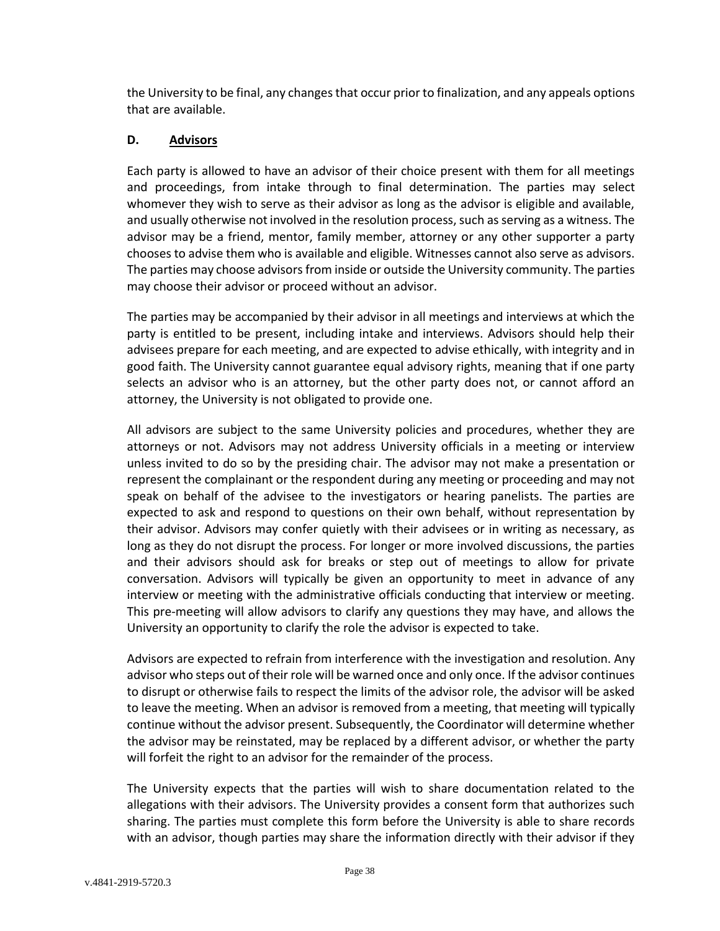the University to be final, any changes that occur prior to finalization, and any appeals options that are available.

### <span id="page-37-0"></span>**D. Advisors**

Each party is allowed to have an advisor of their choice present with them for all meetings and proceedings, from intake through to final determination. The parties may select whomever they wish to serve as their advisor as long as the advisor is eligible and available, and usually otherwise not involved in the resolution process, such as serving as a witness. The advisor may be a friend, mentor, family member, attorney or any other supporter a party chooses to advise them who is available and eligible. Witnesses cannot also serve as advisors. The parties may choose advisors from inside or outside the University community. The parties may choose their advisor or proceed without an advisor.

The parties may be accompanied by their advisor in all meetings and interviews at which the party is entitled to be present, including intake and interviews. Advisors should help their advisees prepare for each meeting, and are expected to advise ethically, with integrity and in good faith. The University cannot guarantee equal advisory rights, meaning that if one party selects an advisor who is an attorney, but the other party does not, or cannot afford an attorney, the University is not obligated to provide one.

All advisors are subject to the same University policies and procedures, whether they are attorneys or not. Advisors may not address University officials in a meeting or interview unless invited to do so by the presiding chair. The advisor may not make a presentation or represent the complainant or the respondent during any meeting or proceeding and may not speak on behalf of the advisee to the investigators or hearing panelists. The parties are expected to ask and respond to questions on their own behalf, without representation by their advisor. Advisors may confer quietly with their advisees or in writing as necessary, as long as they do not disrupt the process. For longer or more involved discussions, the parties and their advisors should ask for breaks or step out of meetings to allow for private conversation. Advisors will typically be given an opportunity to meet in advance of any interview or meeting with the administrative officials conducting that interview or meeting. This pre-meeting will allow advisors to clarify any questions they may have, and allows the University an opportunity to clarify the role the advisor is expected to take.

Advisors are expected to refrain from interference with the investigation and resolution. Any advisor who steps out of their role will be warned once and only once. If the advisor continues to disrupt or otherwise fails to respect the limits of the advisor role, the advisor will be asked to leave the meeting. When an advisor is removed from a meeting, that meeting will typically continue without the advisor present. Subsequently, the Coordinator will determine whether the advisor may be reinstated, may be replaced by a different advisor, or whether the party will forfeit the right to an advisor for the remainder of the process.

The University expects that the parties will wish to share documentation related to the allegations with their advisors. The University provides a consent form that authorizes such sharing. The parties must complete this form before the University is able to share records with an advisor, though parties may share the information directly with their advisor if they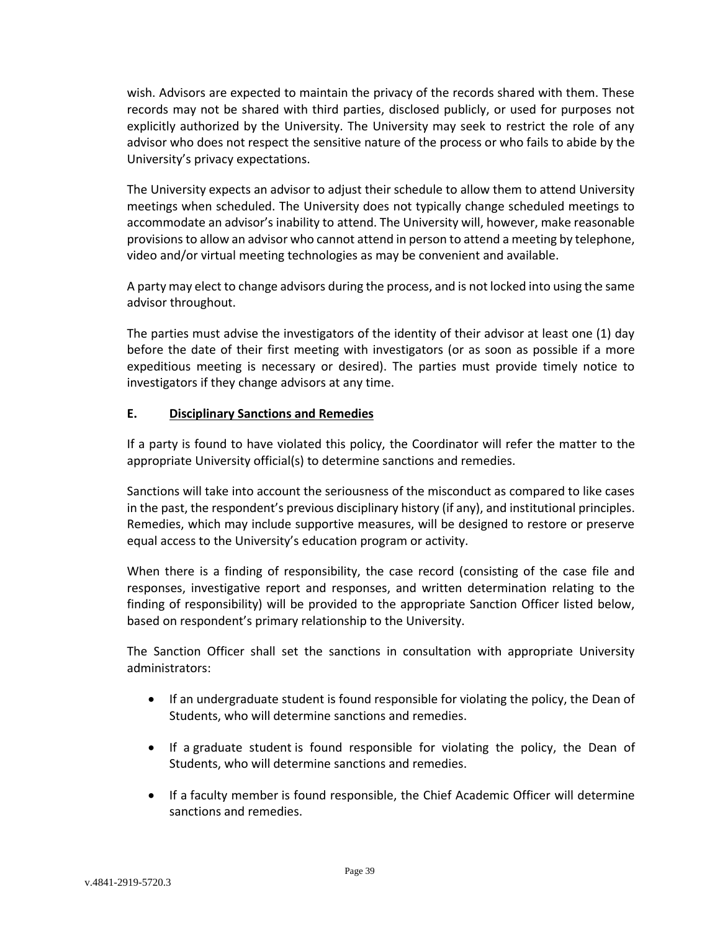wish. Advisors are expected to maintain the privacy of the records shared with them. These records may not be shared with third parties, disclosed publicly, or used for purposes not explicitly authorized by the University. The University may seek to restrict the role of any advisor who does not respect the sensitive nature of the process or who fails to abide by the University's privacy expectations.

The University expects an advisor to adjust their schedule to allow them to attend University meetings when scheduled. The University does not typically change scheduled meetings to accommodate an advisor's inability to attend. The University will, however, make reasonable provisions to allow an advisor who cannot attend in person to attend a meeting by telephone, video and/or virtual meeting technologies as may be convenient and available.

A party may elect to change advisors during the process, and is not locked into using the same advisor throughout.

The parties must advise the investigators of the identity of their advisor at least one (1) day before the date of their first meeting with investigators (or as soon as possible if a more expeditious meeting is necessary or desired). The parties must provide timely notice to investigators if they change advisors at any time.

## <span id="page-38-0"></span>**E. Disciplinary Sanctions and Remedies**

If a party is found to have violated this policy, the Coordinator will refer the matter to the appropriate University official(s) to determine sanctions and remedies.

Sanctions will take into account the seriousness of the misconduct as compared to like cases in the past, the respondent's previous disciplinary history (if any), and institutional principles. Remedies, which may include supportive measures, will be designed to restore or preserve equal access to the University's education program or activity.

When there is a finding of responsibility, the case record (consisting of the case file and responses, investigative report and responses, and written determination relating to the finding of responsibility) will be provided to the appropriate Sanction Officer listed below, based on respondent's primary relationship to the University.

The Sanction Officer shall set the sanctions in consultation with appropriate University administrators:

- If an undergraduate student is found responsible for violating the policy, the Dean of Students, who will determine sanctions and remedies.
- If a graduate student is found responsible for violating the policy, the Dean of Students, who will determine sanctions and remedies.
- If a faculty member is found responsible, the Chief Academic Officer will determine sanctions and remedies.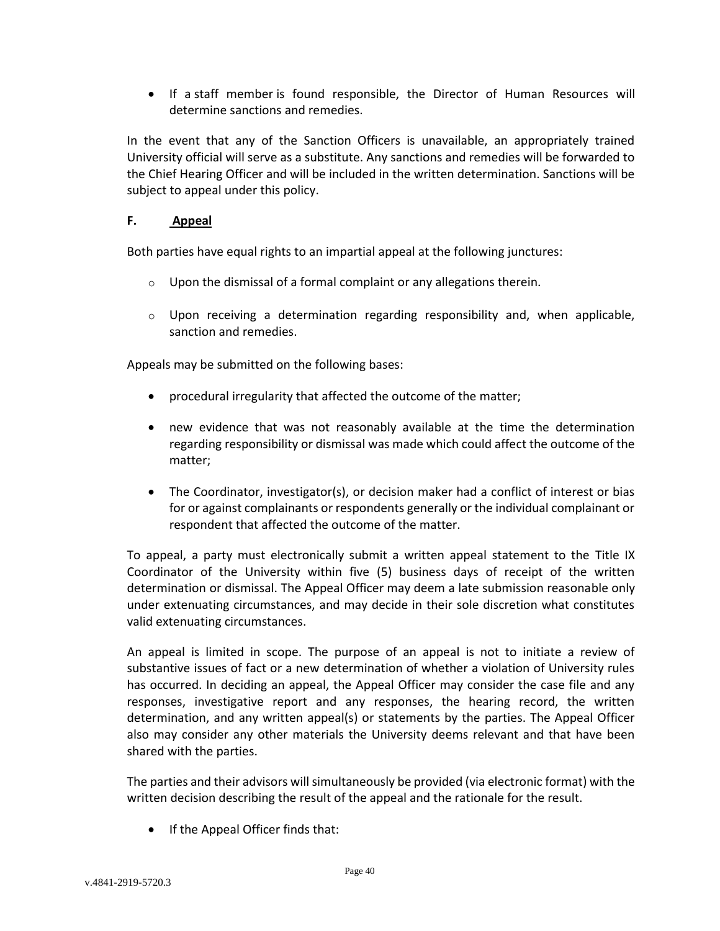If a staff member is found responsible, the Director of Human Resources will determine sanctions and remedies.

In the event that any of the Sanction Officers is unavailable, an appropriately trained University official will serve as a substitute. Any sanctions and remedies will be forwarded to the Chief Hearing Officer and will be included in the written determination. Sanctions will be subject to appeal under this policy.

## <span id="page-39-0"></span>**F. Appeal**

Both parties have equal rights to an impartial appeal at the following junctures:

- $\circ$  Upon the dismissal of a formal complaint or any allegations therein.
- $\circ$  Upon receiving a determination regarding responsibility and, when applicable, sanction and remedies.

Appeals may be submitted on the following bases:

- procedural irregularity that affected the outcome of the matter;
- new evidence that was not reasonably available at the time the determination regarding responsibility or dismissal was made which could affect the outcome of the matter;
- The Coordinator, investigator(s), or decision maker had a conflict of interest or bias for or against complainants or respondents generally or the individual complainant or respondent that affected the outcome of the matter.

To appeal, a party must electronically submit a written appeal statement to the Title IX Coordinator of the University within five (5) business days of receipt of the written determination or dismissal. The Appeal Officer may deem a late submission reasonable only under extenuating circumstances, and may decide in their sole discretion what constitutes valid extenuating circumstances.

An appeal is limited in scope. The purpose of an appeal is not to initiate a review of substantive issues of fact or a new determination of whether a violation of University rules has occurred. In deciding an appeal, the Appeal Officer may consider the case file and any responses, investigative report and any responses, the hearing record, the written determination, and any written appeal(s) or statements by the parties. The Appeal Officer also may consider any other materials the University deems relevant and that have been shared with the parties.

The parties and their advisors will simultaneously be provided (via electronic format) with the written decision describing the result of the appeal and the rationale for the result.

• If the Appeal Officer finds that: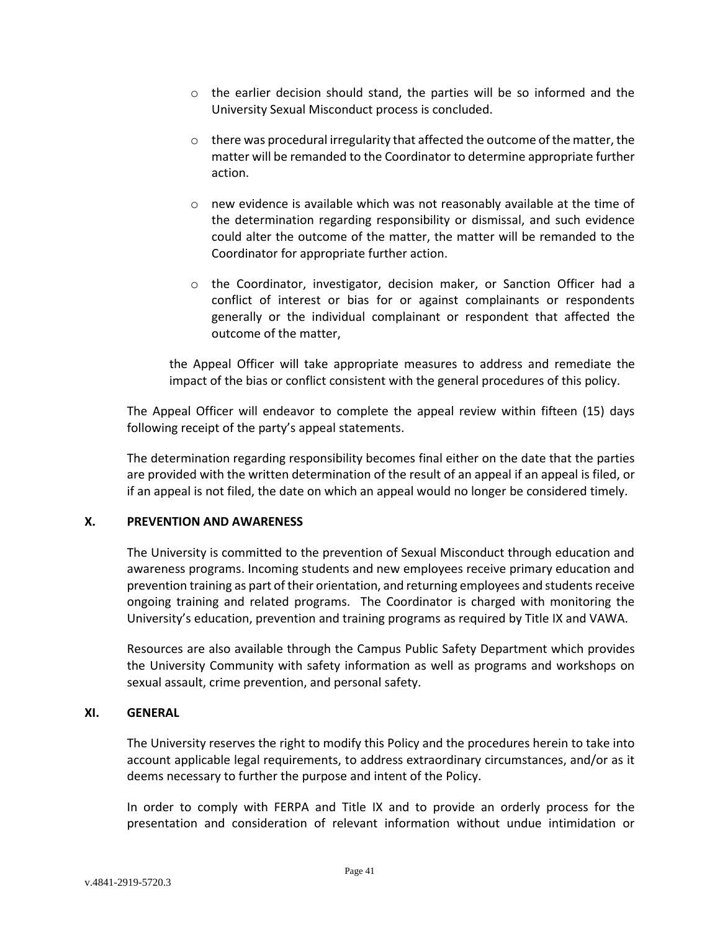- $\circ$  the earlier decision should stand, the parties will be so informed and the University Sexual Misconduct process is concluded.
- $\circ$  there was procedural irregularity that affected the outcome of the matter, the matter will be remanded to the Coordinator to determine appropriate further action.
- o new evidence is available which was not reasonably available at the time of the determination regarding responsibility or dismissal, and such evidence could alter the outcome of the matter, the matter will be remanded to the Coordinator for appropriate further action.
- o the Coordinator, investigator, decision maker, or Sanction Officer had a conflict of interest or bias for or against complainants or respondents generally or the individual complainant or respondent that affected the outcome of the matter,

the Appeal Officer will take appropriate measures to address and remediate the impact of the bias or conflict consistent with the general procedures of this policy.

The Appeal Officer will endeavor to complete the appeal review within fifteen (15) days following receipt of the party's appeal statements.

The determination regarding responsibility becomes final either on the date that the parties are provided with the written determination of the result of an appeal if an appeal is filed, or if an appeal is not filed, the date on which an appeal would no longer be considered timely.

#### <span id="page-40-0"></span>**X. PREVENTION AND AWARENESS**

The University is committed to the prevention of Sexual Misconduct through education and awareness programs. Incoming students and new employees receive primary education and prevention training as part of their orientation, and returning employees and students receive ongoing training and related programs. The Coordinator is charged with monitoring the University's education, prevention and training programs as required by Title IX and VAWA.

Resources are also available through the Campus Public Safety Department which provides the University Community with safety information as well as programs and workshops on sexual assault, crime prevention, and personal safety.

#### <span id="page-40-1"></span>**XI. GENERAL**

The University reserves the right to modify this Policy and the procedures herein to take into account applicable legal requirements, to address extraordinary circumstances, and/or as it deems necessary to further the purpose and intent of the Policy.

In order to comply with FERPA and Title IX and to provide an orderly process for the presentation and consideration of relevant information without undue intimidation or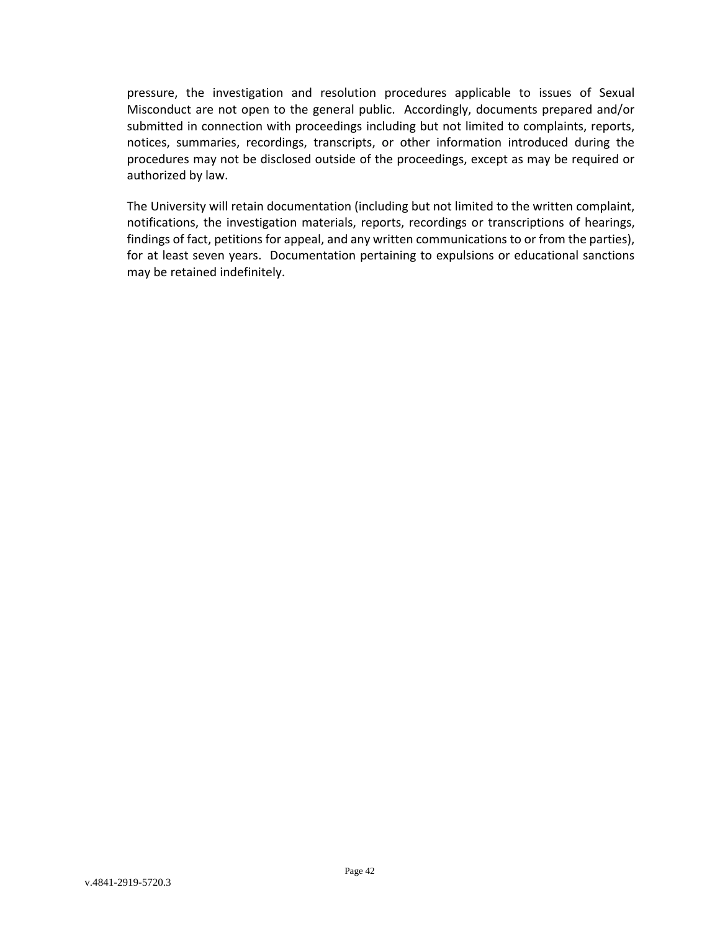pressure, the investigation and resolution procedures applicable to issues of Sexual Misconduct are not open to the general public. Accordingly, documents prepared and/or submitted in connection with proceedings including but not limited to complaints, reports, notices, summaries, recordings, transcripts, or other information introduced during the procedures may not be disclosed outside of the proceedings, except as may be required or authorized by law.

The University will retain documentation (including but not limited to the written complaint, notifications, the investigation materials, reports, recordings or transcriptions of hearings, findings of fact, petitions for appeal, and any written communications to or from the parties), for at least seven years. Documentation pertaining to expulsions or educational sanctions may be retained indefinitely.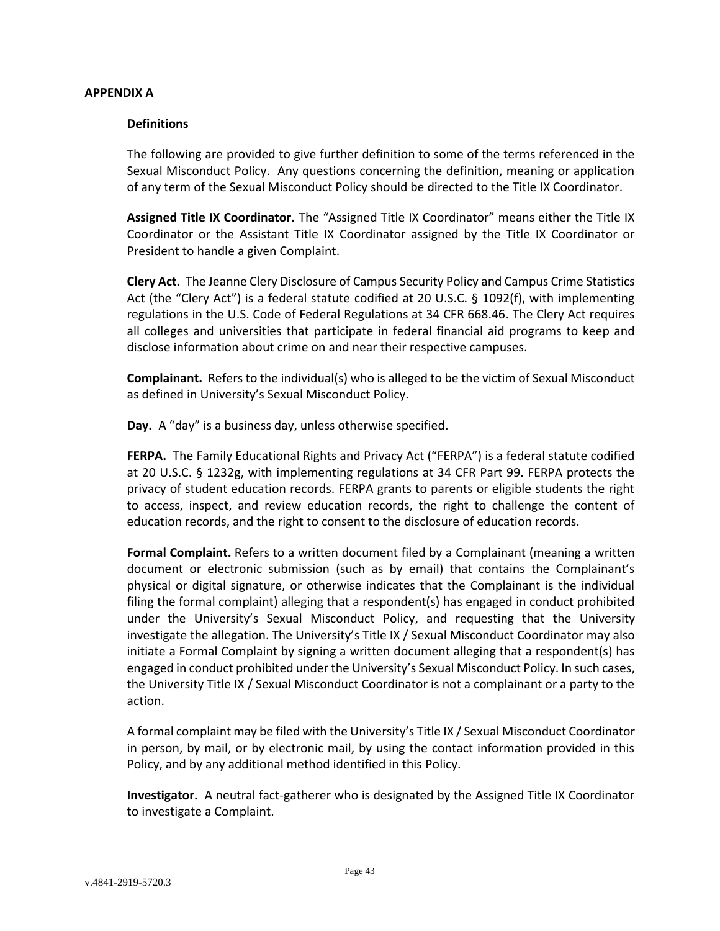#### <span id="page-42-0"></span>**APPENDIX A**

#### <span id="page-42-1"></span>**Definitions**

The following are provided to give further definition to some of the terms referenced in the Sexual Misconduct Policy. Any questions concerning the definition, meaning or application of any term of the Sexual Misconduct Policy should be directed to the Title IX Coordinator.

**Assigned Title IX Coordinator.** The "Assigned Title IX Coordinator" means either the Title IX Coordinator or the Assistant Title IX Coordinator assigned by the Title IX Coordinator or President to handle a given Complaint.

**Clery Act.** The Jeanne Clery Disclosure of Campus Security Policy and Campus Crime Statistics Act (the "Clery Act") is a federal statute codified at 20 U.S.C. § 1092(f), with implementing regulations in the U.S. Code of Federal Regulations at 34 CFR 668.46. The Clery Act requires all colleges and universities that participate in federal financial aid programs to keep and disclose information about crime on and near their respective campuses.

**Complainant.** Refers to the individual(s) who is alleged to be the victim of Sexual Misconduct as defined in University's Sexual Misconduct Policy.

**Day.** A "day" is a business day, unless otherwise specified.

**FERPA.** The Family Educational Rights and Privacy Act ("FERPA") is a federal statute codified at 20 U.S.C. § 1232g, with implementing regulations at 34 CFR Part 99. FERPA protects the privacy of student education records. FERPA grants to parents or eligible students the right to access, inspect, and review education records, the right to challenge the content of education records, and the right to consent to the disclosure of education records.

**Formal Complaint.** Refers to a written document filed by a Complainant (meaning a written document or electronic submission (such as by email) that contains the Complainant's physical or digital signature, or otherwise indicates that the Complainant is the individual filing the formal complaint) alleging that a respondent(s) has engaged in conduct prohibited under the University's Sexual Misconduct Policy, and requesting that the University investigate the allegation. The University's Title IX / Sexual Misconduct Coordinator may also initiate a Formal Complaint by signing a written document alleging that a respondent(s) has engaged in conduct prohibited under the University's Sexual Misconduct Policy. In such cases, the University Title IX / Sexual Misconduct Coordinator is not a complainant or a party to the action.

A formal complaint may be filed with the University's Title IX / Sexual Misconduct Coordinator in person, by mail, or by electronic mail, by using the contact information provided in this Policy, and by any additional method identified in this Policy.

**Investigator.** A neutral fact‐gatherer who is designated by the Assigned Title IX Coordinator to investigate a Complaint.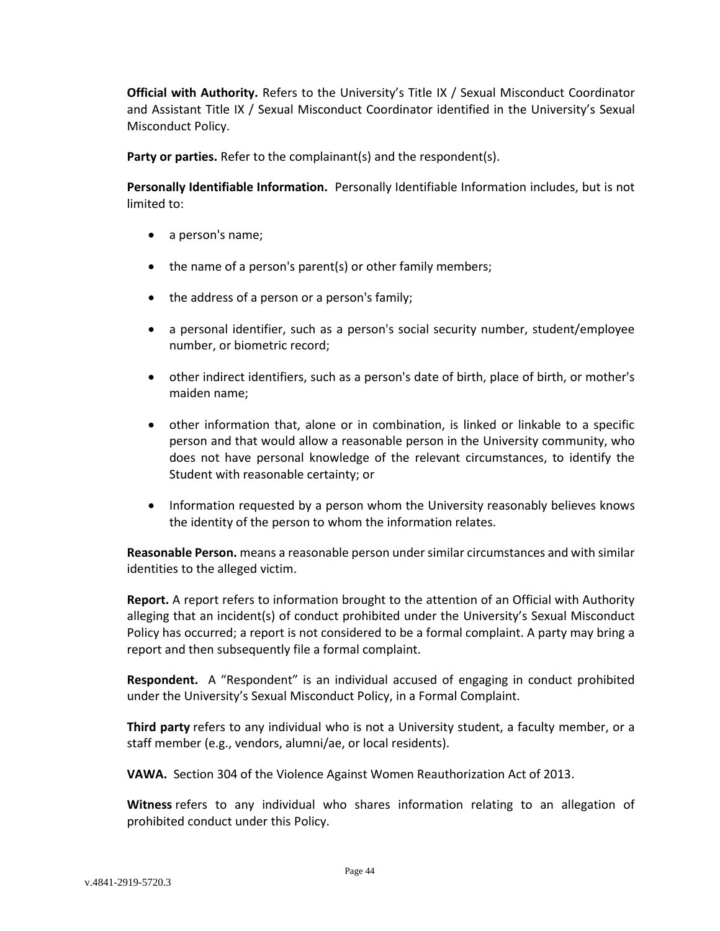**Official with Authority.** Refers to the University's Title IX / Sexual Misconduct Coordinator and Assistant Title IX / Sexual Misconduct Coordinator identified in the University's Sexual Misconduct Policy.

**Party or parties.** Refer to the complainant(s) and the respondent(s).

**Personally Identifiable Information.** Personally Identifiable Information includes, but is not limited to:

- a person's name;
- the name of a person's parent(s) or other family members;
- the address of a person or a person's family;
- a personal identifier, such as a person's social security number, student/employee number, or biometric record;
- other indirect identifiers, such as a person's date of birth, place of birth, or mother's maiden name;
- other information that, alone or in combination, is linked or linkable to a specific person and that would allow a reasonable person in the University community, who does not have personal knowledge of the relevant circumstances, to identify the Student with reasonable certainty; or
- Information requested by a person whom the University reasonably believes knows the identity of the person to whom the information relates.

**Reasonable Person.** means a reasonable person under similar circumstances and with similar identities to the alleged victim.

**Report.** A report refers to information brought to the attention of an Official with Authority alleging that an incident(s) of conduct prohibited under the University's Sexual Misconduct Policy has occurred; a report is not considered to be a formal complaint. A party may bring a report and then subsequently file a formal complaint.

**Respondent.** A "Respondent" is an individual accused of engaging in conduct prohibited under the University's Sexual Misconduct Policy, in a Formal Complaint.

**Third party** refers to any individual who is not a University student, a faculty member, or a staff member (e.g., vendors, alumni/ae, or local residents).

**VAWA.** Section 304 of the Violence Against Women Reauthorization Act of 2013.

**Witness** refers to any individual who shares information relating to an allegation of prohibited conduct under this Policy.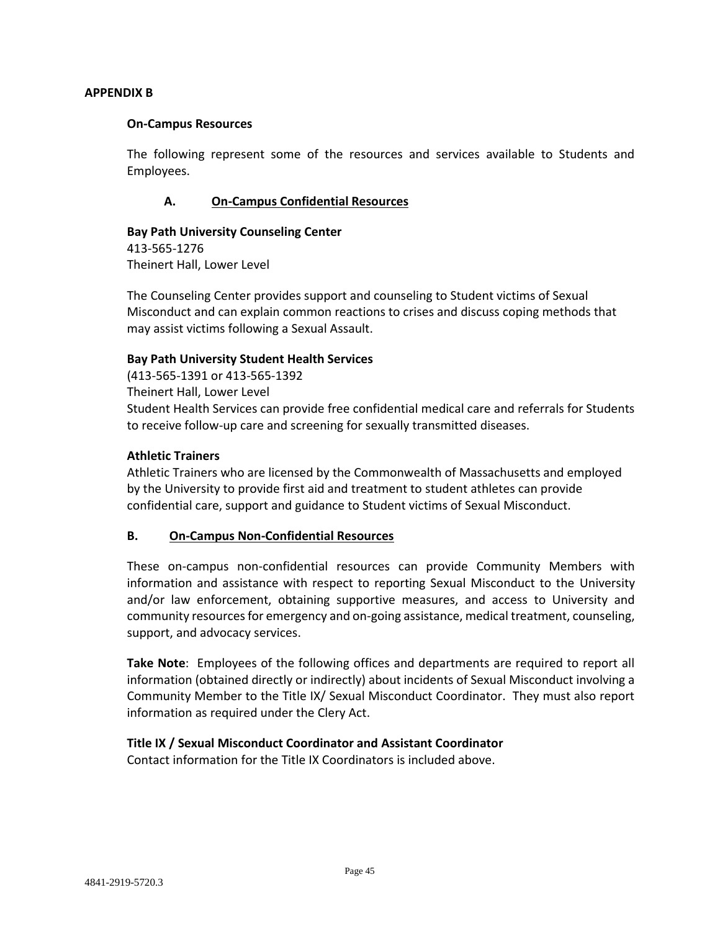#### <span id="page-44-0"></span>**APPENDIX B**

#### <span id="page-44-1"></span>**On-Campus Resources**

The following represent some of the resources and services available to Students and Employees.

### **A. On-Campus Confidential Resources**

### <span id="page-44-2"></span>**Bay Path University Counseling Center**

413-565-1276 Theinert Hall, Lower Level

The Counseling Center provides support and counseling to Student victims of Sexual Misconduct and can explain common reactions to crises and discuss coping methods that may assist victims following a Sexual Assault.

#### **Bay Path University Student Health Services**

(413-565-1391 or 413-565-1392 Theinert Hall, Lower Level Student Health Services can provide free confidential medical care and referrals for Students to receive follow-up care and screening for sexually transmitted diseases.

#### **Athletic Trainers**

Athletic Trainers who are licensed by the Commonwealth of Massachusetts and employed by the University to provide first aid and treatment to student athletes can provide confidential care, support and guidance to Student victims of Sexual Misconduct.

#### <span id="page-44-3"></span>**B. On-Campus Non-Confidential Resources**

These on-campus non-confidential resources can provide Community Members with information and assistance with respect to reporting Sexual Misconduct to the University and/or law enforcement, obtaining supportive measures, and access to University and community resources for emergency and on-going assistance, medical treatment, counseling, support, and advocacy services.

**Take Note**: Employees of the following offices and departments are required to report all information (obtained directly or indirectly) about incidents of Sexual Misconduct involving a Community Member to the Title IX/ Sexual Misconduct Coordinator. They must also report information as required under the Clery Act.

#### **Title IX / Sexual Misconduct Coordinator and Assistant Coordinator**

Contact information for the Title IX Coordinators is included above.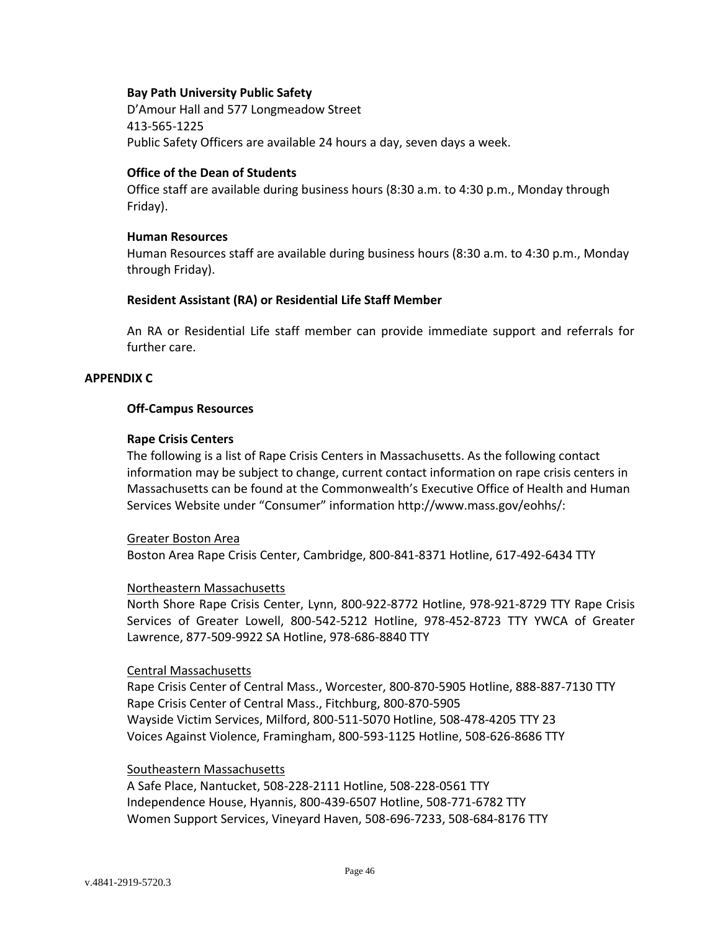#### **Bay Path University Public Safety**

D'Amour Hall and 577 Longmeadow Street 413-565-1225 Public Safety Officers are available 24 hours a day, seven days a week.

#### **Office of the Dean of Students**

Office staff are available during business hours (8:30 a.m. to 4:30 p.m., Monday through Friday).

#### **Human Resources**

Human Resources staff are available during business hours (8:30 a.m. to 4:30 p.m., Monday through Friday).

#### **Resident Assistant (RA) or Residential Life Staff Member**

An RA or Residential Life staff member can provide immediate support and referrals for further care.

#### <span id="page-45-1"></span><span id="page-45-0"></span>**APPENDIX C**

#### **Off-Campus Resources**

#### **Rape Crisis Centers**

The following is a list of Rape Crisis Centers in Massachusetts. As the following contact information may be subject to change, current contact information on rape crisis centers in Massachusetts can be found at the Commonwealth's Executive Office of Health and Human Services Website under "Consumer" information http://www.mass.gov/eohhs/:

Greater Boston Area Boston Area Rape Crisis Center, Cambridge, 800-841-8371 Hotline, 617-492-6434 TTY

#### Northeastern Massachusetts

North Shore Rape Crisis Center, Lynn, 800-922-8772 Hotline, 978-921-8729 TTY Rape Crisis Services of Greater Lowell, 800-542-5212 Hotline, 978-452-8723 TTY YWCA of Greater Lawrence, 877-509-9922 SA Hotline, 978-686-8840 TTY

#### Central Massachusetts

Rape Crisis Center of Central Mass., Worcester, 800-870-5905 Hotline, 888-887-7130 TTY Rape Crisis Center of Central Mass., Fitchburg, 800-870-5905 Wayside Victim Services, Milford, 800-511-5070 Hotline, 508-478-4205 TTY 23 Voices Against Violence, Framingham, 800-593-1125 Hotline, 508-626-8686 TTY

#### Southeastern Massachusetts

A Safe Place, Nantucket, 508-228-2111 Hotline, 508-228-0561 TTY Independence House, Hyannis, 800-439-6507 Hotline, 508-771-6782 TTY Women Support Services, Vineyard Haven, 508-696-7233, 508-684-8176 TTY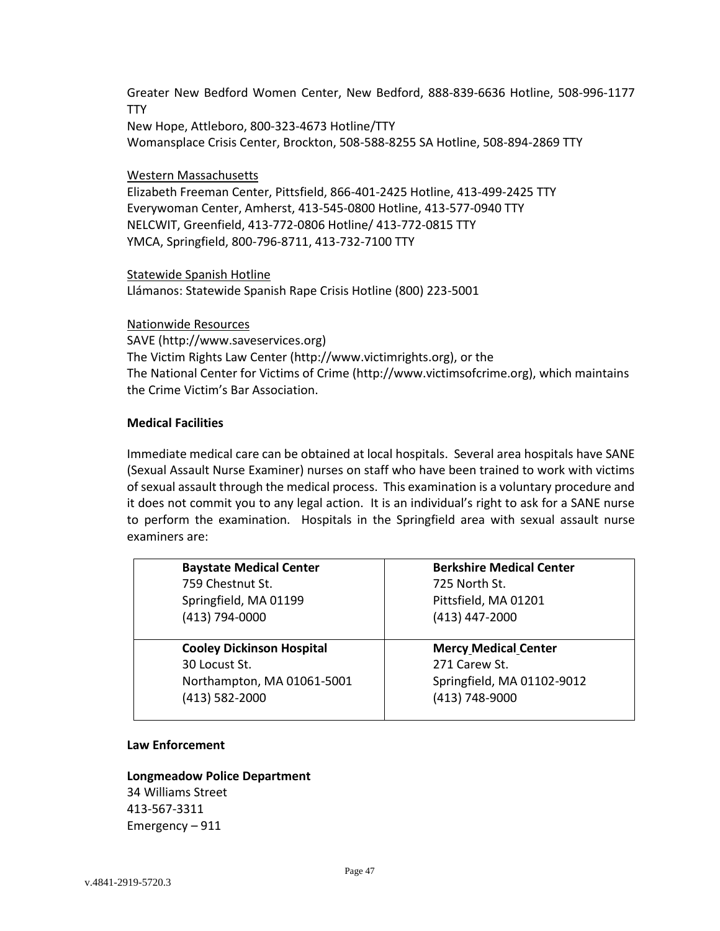Greater New Bedford Women Center, New Bedford, 888-839-6636 Hotline, 508-996-1177 **TTY** 

New Hope, Attleboro, 800-323-4673 Hotline/TTY Womansplace Crisis Center, Brockton, 508-588-8255 SA Hotline, 508-894-2869 TTY

#### Western Massachusetts

Elizabeth Freeman Center, Pittsfield, 866-401-2425 Hotline, 413-499-2425 TTY Everywoman Center, Amherst, 413-545-0800 Hotline, 413-577-0940 TTY NELCWIT, Greenfield, 413-772-0806 Hotline/ 413-772-0815 TTY YMCA, Springfield, 800-796-8711, 413-732-7100 TTY

#### Statewide Spanish Hotline

Llámanos: Statewide Spanish Rape Crisis Hotline (800) 223-5001

#### Nationwide Resources

SAVE (http://www.saveservices.org) The Victim Rights Law Center (http://www.victimrights.org), or the The National Center for Victims of Crime (http://www.victimsofcrime.org), which maintains the Crime Victim's Bar Association.

### **Medical Facilities**

Immediate medical care can be obtained at local hospitals. Several area hospitals have SANE (Sexual Assault Nurse Examiner) nurses on staff who have been trained to work with victims of sexual assault through the medical process. This examination is a voluntary procedure and it does not commit you to any legal action. It is an individual's right to ask for a SANE nurse to perform the examination. Hospitals in the Springfield area with sexual assault nurse examiners are:

| <b>Baystate Medical Center</b>   | <b>Berkshire Medical Center</b> |  |
|----------------------------------|---------------------------------|--|
| 759 Chestnut St.                 | 725 North St.                   |  |
| Springfield, MA 01199            | Pittsfield, MA 01201            |  |
| (413) 794-0000                   | (413) 447-2000                  |  |
|                                  |                                 |  |
| <b>Cooley Dickinson Hospital</b> | <b>Mercy Medical Center</b>     |  |
| 30 Locust St.                    | 271 Carew St.                   |  |
|                                  | Springfield, MA 01102-9012      |  |
| Northampton, MA 01061-5001       |                                 |  |
| (413) 582-2000                   | (413) 748-9000                  |  |

#### **Law Enforcement**

# **Longmeadow Police Department** 34 Williams Street 413-567-3311 Emergency – 911